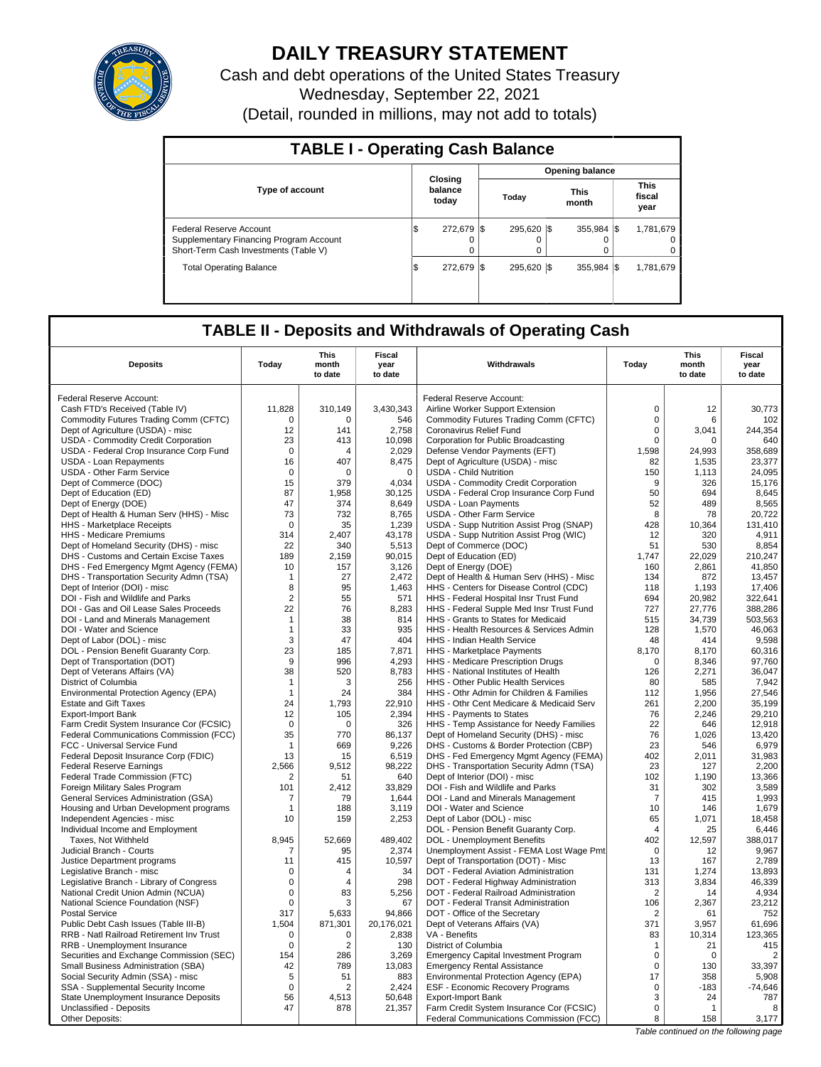

# **DAILY TREASURY STATEMENT**

Cash and debt operations of the United States Treasury Wednesday, September 22, 2021 (Detail, rounded in millions, may not add to totals)

| <b>TABLE I - Operating Cash Balance</b>                                                                     |     |                             |                 |                  |  |                       |  |                               |  |  |  |
|-------------------------------------------------------------------------------------------------------------|-----|-----------------------------|-----------------|------------------|--|-----------------------|--|-------------------------------|--|--|--|
|                                                                                                             |     |                             | Opening balance |                  |  |                       |  |                               |  |  |  |
| <b>Type of account</b>                                                                                      |     | Closing<br>balance<br>today |                 | Today            |  | <b>This</b><br>month  |  | <b>This</b><br>fiscal<br>year |  |  |  |
| Federal Reserve Account<br>Supplementary Financing Program Account<br>Short-Term Cash Investments (Table V) | l\$ | 272,679 \$<br>$\Omega$      |                 | 295.620 \\$<br>0 |  | 355.984 \\$<br>O<br>0 |  | 1.781.679<br>0                |  |  |  |
| <b>Total Operating Balance</b>                                                                              | l\$ | 272.679                     |                 | 295.620 \\$      |  | 355.984 \$            |  | 1,781,679                     |  |  |  |

## **TABLE II - Deposits and Withdrawals of Operating Cash**

| Federal Reserve Account:<br>Federal Reserve Account:<br>11,828<br>310,149<br>3,430,343<br>$\mathbf 0$<br>30,773<br>Cash FTD's Received (Table IV)<br>Airline Worker Support Extension<br>12<br>Commodity Futures Trading Comm (CFTC)<br>546<br>Commodity Futures Trading Comm (CFTC)<br>$\mathbf 0$<br>6<br>102<br>0<br>0<br>12<br>2,758<br>$\mathbf 0$<br>3,041<br>244,354<br>Dept of Agriculture (USDA) - misc<br>141<br>Coronavirus Relief Fund<br>USDA - Commodity Credit Corporation<br>23<br>413<br>10,098<br>640<br>Corporation for Public Broadcasting<br>0<br>0<br>$\mathbf 0$<br>1,598<br>358,689<br>USDA - Federal Crop Insurance Corp Fund<br>2,029<br>Defense Vendor Payments (EFT)<br>24,993<br>4<br>USDA - Loan Repayments<br>16<br>407<br>8,475<br>Dept of Agriculture (USDA) - misc<br>82<br>1,535<br>23,377<br>24,095<br><b>USDA - Other Farm Service</b><br>$\mathbf 0$<br>$\Omega$<br>$\mathbf 0$<br><b>USDA - Child Nutrition</b><br>150<br>1.113<br>Dept of Commerce (DOC)<br>15<br>379<br>4,034<br>USDA - Commodity Credit Corporation<br>9<br>326<br>15,176<br>50<br>Dept of Education (ED)<br>87<br>1.958<br>30.125<br>USDA - Federal Crop Insurance Corp Fund<br>694<br>8,645<br>47<br>52<br>489<br>374<br>8,649<br><b>USDA - Loan Payments</b><br>8,565<br>Dept of Energy (DOE)<br>73<br>USDA - Other Farm Service<br>20,722<br>Dept of Health & Human Serv (HHS) - Misc<br>732<br>8,765<br>8<br>78<br>1,239<br>USDA - Supp Nutrition Assist Prog (SNAP)<br>428<br>131,410<br>HHS - Marketplace Receipts<br>0<br>35<br>10,364<br>HHS - Medicare Premiums<br>USDA - Supp Nutrition Assist Prog (WIC)<br>12<br>320<br>4,911<br>314<br>2.407<br>43,178<br>51<br>Dept of Homeland Security (DHS) - misc<br>22<br>340<br>5,513<br>Dept of Commerce (DOC)<br>530<br>8.854<br>Dept of Education (ED)<br>1,747<br>22,029<br>210,247<br>DHS - Customs and Certain Excise Taxes<br>189<br>2,159<br>90,015<br>10<br>3,126<br>Dept of Energy (DOE)<br>160<br>2.861<br>41.850<br>DHS - Fed Emergency Mgmt Agency (FEMA)<br>157<br>DHS - Transportation Security Admn (TSA)<br>27<br>2,472<br>Dept of Health & Human Serv (HHS) - Misc<br>134<br>872<br>13,457<br>$\mathbf{1}$<br>Dept of Interior (DOI) - misc<br>8<br>95<br>1,463<br>HHS - Centers for Disease Control (CDC)<br>118<br>1,193<br>17,406<br>$\overline{2}$<br>DOI - Fish and Wildlife and Parks<br>55<br>571<br>HHS - Federal Hospital Insr Trust Fund<br>694<br>20,982<br>322,641<br>DOI - Gas and Oil Lease Sales Proceeds<br>22<br>76<br>8,283<br>727<br>27,776<br>388,286<br>HHS - Federal Supple Med Insr Trust Fund<br>DOI - Land and Minerals Management<br>38<br>814<br>HHS - Grants to States for Medicaid<br>515<br>34,739<br>503,563<br>$\mathbf{1}$<br>33<br>935<br>HHS - Health Resources & Services Admin<br>128<br>1,570<br>46,063<br>DOI - Water and Science<br>$\mathbf{1}$<br>404<br>Dept of Labor (DOL) - misc<br>3<br>47<br>HHS - Indian Health Service<br>48<br>414<br>9,598<br>8,170<br>DOL - Pension Benefit Guaranty Corp.<br>23<br>185<br>7,871<br>8,170<br>60,316<br><b>HHS</b> - Marketplace Payments<br>Dept of Transportation (DOT)<br>9<br>996<br>4,293<br>HHS - Medicare Prescription Drugs<br>$\mathbf 0$<br>8,346<br>97,760<br>Dept of Veterans Affairs (VA)<br>38<br>520<br>8,783<br>HHS - National Institutes of Health<br>126<br>2,271<br>36.047<br>7,942<br>District of Columbia<br>256<br>HHS - Other Public Health Services<br>80<br>585<br>$\mathbf{1}$<br>3<br>384<br>1,956<br>27.546<br>Environmental Protection Agency (EPA)<br>$\mathbf{1}$<br>24<br>HHS - Othr Admin for Children & Families<br>112<br>24<br>1.793<br>22,910<br>261<br>2.200<br>35.199<br><b>Estate and Gift Taxes</b><br>HHS - Othr Cent Medicare & Medicaid Serv<br>2,246<br><b>Export-Import Bank</b><br>12<br>105<br>2,394<br>HHS - Payments to States<br>76<br>29,210<br>22<br>$\mathbf 0$<br>HHS - Temp Assistance for Needy Families<br>12.918<br>Farm Credit System Insurance Cor (FCSIC)<br>$\Omega$<br>326<br>646<br>35<br>770<br>86,137<br>76<br>13,420<br>Federal Communications Commission (FCC)<br>Dept of Homeland Security (DHS) - misc<br>1,026<br>FCC - Universal Service Fund<br>669<br>9.226<br>DHS - Customs & Border Protection (CBP)<br>23<br>546<br>6.979<br>$\overline{1}$<br>Federal Deposit Insurance Corp (FDIC)<br>13<br>6,519<br>DHS - Fed Emergency Mgmt Agency (FEMA)<br>402<br>2,011<br>31,983<br>15<br>98,222<br>DHS - Transportation Security Admn (TSA)<br>23<br>127<br>2,200<br><b>Federal Reserve Earnings</b><br>2,566<br>9.512<br>102<br>640<br>Dept of Interior (DOI) - misc<br>1,190<br>13,366<br>Federal Trade Commission (FTC)<br>2<br>51<br>101<br>2,412<br>33,829<br>DOI - Fish and Wildlife and Parks<br>31<br>302<br>3,589<br>Foreign Military Sales Program<br>1,993<br>General Services Administration (GSA)<br>$\overline{7}$<br>79<br>1.644<br>DOI - Land and Minerals Management<br>$\overline{7}$<br>415<br>3,119<br>DOI - Water and Science<br>10<br>146<br>1,679<br>Housing and Urban Development programs<br>$\mathbf{1}$<br>188<br>10<br>2,253<br>Dept of Labor (DOL) - misc<br>65<br>1,071<br>18,458<br>Independent Agencies - misc<br>159<br>25<br>6,446<br>DOL - Pension Benefit Guaranty Corp.<br>Individual Income and Employment<br>4<br>388,017<br>Taxes, Not Withheld<br>8,945<br>52,669<br>489,402<br>DOL - Unemployment Benefits<br>402<br>12,597<br>Judicial Branch - Courts<br>95<br>2,374<br>Unemployment Assist - FEMA Lost Wage Pmt<br>$\mathbf 0$<br>12<br>9.967<br>7<br>415<br>10,597<br>Dept of Transportation (DOT) - Misc<br>13<br>167<br>2,789<br>Justice Department programs<br>11<br>Legislative Branch - misc<br>$\mathbf 0$<br>34<br>DOT - Federal Aviation Administration<br>131<br>1,274<br>13,893<br>4<br>Legislative Branch - Library of Congress<br>0<br>298<br>DOT - Federal Highway Administration<br>313<br>3,834<br>46,339<br>4<br>5,256<br>DOT - Federal Railroad Administration<br>4,934<br>National Credit Union Admin (NCUA)<br>$\mathbf 0$<br>83<br>$\overline{2}$<br>14<br>National Science Foundation (NSF)<br>0<br>DOT - Federal Transit Administration<br>106<br>2,367<br>23,212<br>3<br>67<br>5,633<br><b>Postal Service</b><br>317<br>94,866<br>DOT - Office of the Secretary<br>$\overline{2}$<br>61<br>752<br>Public Debt Cash Issues (Table III-B)<br>1.504<br>871.301<br>20.176.021<br>Dept of Veterans Affairs (VA)<br>371<br>3.957<br>61.696<br>VA - Benefits<br>83<br>10,314<br>123,365<br>RRB - Natl Railroad Retirement Inv Trust<br>$\mathbf 0$<br>$\mathbf 0$<br>2,838<br>$\Omega$<br>130<br>415<br>RRB - Unemployment Insurance<br>2<br>District of Columbia<br>$\mathbf{1}$<br>21<br>3,269<br>$\mathbf 0$<br>$\overline{2}$<br>Securities and Exchange Commission (SEC)<br>286<br><b>Emergency Capital Investment Program</b><br>$\mathbf 0$<br>154<br>13,083<br>33,397<br>Small Business Administration (SBA)<br>42<br>789<br><b>Emergency Rental Assistance</b><br>$\Omega$<br>130<br>358<br>5,908<br>5<br>883<br>17<br>Social Security Admin (SSA) - misc<br>51<br>Environmental Protection Agency (EPA)<br>SSA - Supplemental Security Income<br>$\mathbf 0$<br>2,424<br><b>ESF - Economic Recovery Programs</b><br>$\mathbf 0$<br>$-183$<br>$-74,646$<br>2<br>State Unemployment Insurance Deposits<br>56<br>4,513<br>50,648<br><b>Export-Import Bank</b><br>3<br>24<br>787<br>47<br>Unclassified - Deposits<br>21,357<br>Farm Credit System Insurance Cor (FCSIC)<br>$\mathbf 0$<br>878<br>$\overline{1}$<br>8<br>Other Deposits:<br>Federal Communications Commission (FCC)<br>8<br>158<br>3,177 | <b>Deposits</b> | Today | <b>This</b><br>month<br>to date | <b>Fiscal</b><br>year<br>to date | Withdrawals | Today | <b>This</b><br>month<br>to date | Fiscal<br>year<br>to date |
|-----------------------------------------------------------------------------------------------------------------------------------------------------------------------------------------------------------------------------------------------------------------------------------------------------------------------------------------------------------------------------------------------------------------------------------------------------------------------------------------------------------------------------------------------------------------------------------------------------------------------------------------------------------------------------------------------------------------------------------------------------------------------------------------------------------------------------------------------------------------------------------------------------------------------------------------------------------------------------------------------------------------------------------------------------------------------------------------------------------------------------------------------------------------------------------------------------------------------------------------------------------------------------------------------------------------------------------------------------------------------------------------------------------------------------------------------------------------------------------------------------------------------------------------------------------------------------------------------------------------------------------------------------------------------------------------------------------------------------------------------------------------------------------------------------------------------------------------------------------------------------------------------------------------------------------------------------------------------------------------------------------------------------------------------------------------------------------------------------------------------------------------------------------------------------------------------------------------------------------------------------------------------------------------------------------------------------------------------------------------------------------------------------------------------------------------------------------------------------------------------------------------------------------------------------------------------------------------------------------------------------------------------------------------------------------------------------------------------------------------------------------------------------------------------------------------------------------------------------------------------------------------------------------------------------------------------------------------------------------------------------------------------------------------------------------------------------------------------------------------------------------------------------------------------------------------------------------------------------------------------------------------------------------------------------------------------------------------------------------------------------------------------------------------------------------------------------------------------------------------------------------------------------------------------------------------------------------------------------------------------------------------------------------------------------------------------------------------------------------------------------------------------------------------------------------------------------------------------------------------------------------------------------------------------------------------------------------------------------------------------------------------------------------------------------------------------------------------------------------------------------------------------------------------------------------------------------------------------------------------------------------------------------------------------------------------------------------------------------------------------------------------------------------------------------------------------------------------------------------------------------------------------------------------------------------------------------------------------------------------------------------------------------------------------------------------------------------------------------------------------------------------------------------------------------------------------------------------------------------------------------------------------------------------------------------------------------------------------------------------------------------------------------------------------------------------------------------------------------------------------------------------------------------------------------------------------------------------------------------------------------------------------------------------------------------------------------------------------------------------------------------------------------------------------------------------------------------------------------------------------------------------------------------------------------------------------------------------------------------------------------------------------------------------------------------------------------------------------------------------------------------------------------------------------------------------------------------------------------------------------------------------------------------------------------------------------------------------------------------------------------------------------------------------------------------------------------------------------------------------------------------------------------------------------------------------------------------------------------------------------------------------------------------------------------------------------------------------------------------------------------------------------------------------------------------------------------------------------------------------------------------------------------------------------------------------------------------------------------------------------------------------------------------------------------------------------------------------------------------------------------------------------------------------------------------------------------------------------------------------------------------------------------------------------------------------------------------------------------------------------------------------------------------------------------------------------------------------------------------------------------------------------------------------------------------------------------------------------------------------------------------------------------------------------------------------------------------------------------------------------------------------------------------------------------------------------------------------------------------------------------------------------------------------------------------------------------------------------------------------------|-----------------|-------|---------------------------------|----------------------------------|-------------|-------|---------------------------------|---------------------------|
|                                                                                                                                                                                                                                                                                                                                                                                                                                                                                                                                                                                                                                                                                                                                                                                                                                                                                                                                                                                                                                                                                                                                                                                                                                                                                                                                                                                                                                                                                                                                                                                                                                                                                                                                                                                                                                                                                                                                                                                                                                                                                                                                                                                                                                                                                                                                                                                                                                                                                                                                                                                                                                                                                                                                                                                                                                                                                                                                                                                                                                                                                                                                                                                                                                                                                                                                                                                                                                                                                                                                                                                                                                                                                                                                                                                                                                                                                                                                                                                                                                                                                                                                                                                                                                                                                                                                                                                                                                                                                                                                                                                                                                                                                                                                                                                                                                                                                                                                                                                                                                                                                                                                                                                                                                                                                                                                                                                                                                                                                                                                                                                                                                                                                                                                                                                                                                                                                                                                                                                                                                                                                                                                                                                                                                                                                                                                                                                                                                                                                                                                                                                                                                                                                                                                                                                                                                                                                                                                                                                                                                                                                                                                                                                                                                                                                                                                                                                                                                                                                                                                                                                                                       |                 |       |                                 |                                  |             |       |                                 |                           |
|                                                                                                                                                                                                                                                                                                                                                                                                                                                                                                                                                                                                                                                                                                                                                                                                                                                                                                                                                                                                                                                                                                                                                                                                                                                                                                                                                                                                                                                                                                                                                                                                                                                                                                                                                                                                                                                                                                                                                                                                                                                                                                                                                                                                                                                                                                                                                                                                                                                                                                                                                                                                                                                                                                                                                                                                                                                                                                                                                                                                                                                                                                                                                                                                                                                                                                                                                                                                                                                                                                                                                                                                                                                                                                                                                                                                                                                                                                                                                                                                                                                                                                                                                                                                                                                                                                                                                                                                                                                                                                                                                                                                                                                                                                                                                                                                                                                                                                                                                                                                                                                                                                                                                                                                                                                                                                                                                                                                                                                                                                                                                                                                                                                                                                                                                                                                                                                                                                                                                                                                                                                                                                                                                                                                                                                                                                                                                                                                                                                                                                                                                                                                                                                                                                                                                                                                                                                                                                                                                                                                                                                                                                                                                                                                                                                                                                                                                                                                                                                                                                                                                                                                                       |                 |       |                                 |                                  |             |       |                                 |                           |
|                                                                                                                                                                                                                                                                                                                                                                                                                                                                                                                                                                                                                                                                                                                                                                                                                                                                                                                                                                                                                                                                                                                                                                                                                                                                                                                                                                                                                                                                                                                                                                                                                                                                                                                                                                                                                                                                                                                                                                                                                                                                                                                                                                                                                                                                                                                                                                                                                                                                                                                                                                                                                                                                                                                                                                                                                                                                                                                                                                                                                                                                                                                                                                                                                                                                                                                                                                                                                                                                                                                                                                                                                                                                                                                                                                                                                                                                                                                                                                                                                                                                                                                                                                                                                                                                                                                                                                                                                                                                                                                                                                                                                                                                                                                                                                                                                                                                                                                                                                                                                                                                                                                                                                                                                                                                                                                                                                                                                                                                                                                                                                                                                                                                                                                                                                                                                                                                                                                                                                                                                                                                                                                                                                                                                                                                                                                                                                                                                                                                                                                                                                                                                                                                                                                                                                                                                                                                                                                                                                                                                                                                                                                                                                                                                                                                                                                                                                                                                                                                                                                                                                                                                       |                 |       |                                 |                                  |             |       |                                 |                           |
|                                                                                                                                                                                                                                                                                                                                                                                                                                                                                                                                                                                                                                                                                                                                                                                                                                                                                                                                                                                                                                                                                                                                                                                                                                                                                                                                                                                                                                                                                                                                                                                                                                                                                                                                                                                                                                                                                                                                                                                                                                                                                                                                                                                                                                                                                                                                                                                                                                                                                                                                                                                                                                                                                                                                                                                                                                                                                                                                                                                                                                                                                                                                                                                                                                                                                                                                                                                                                                                                                                                                                                                                                                                                                                                                                                                                                                                                                                                                                                                                                                                                                                                                                                                                                                                                                                                                                                                                                                                                                                                                                                                                                                                                                                                                                                                                                                                                                                                                                                                                                                                                                                                                                                                                                                                                                                                                                                                                                                                                                                                                                                                                                                                                                                                                                                                                                                                                                                                                                                                                                                                                                                                                                                                                                                                                                                                                                                                                                                                                                                                                                                                                                                                                                                                                                                                                                                                                                                                                                                                                                                                                                                                                                                                                                                                                                                                                                                                                                                                                                                                                                                                                                       |                 |       |                                 |                                  |             |       |                                 |                           |
|                                                                                                                                                                                                                                                                                                                                                                                                                                                                                                                                                                                                                                                                                                                                                                                                                                                                                                                                                                                                                                                                                                                                                                                                                                                                                                                                                                                                                                                                                                                                                                                                                                                                                                                                                                                                                                                                                                                                                                                                                                                                                                                                                                                                                                                                                                                                                                                                                                                                                                                                                                                                                                                                                                                                                                                                                                                                                                                                                                                                                                                                                                                                                                                                                                                                                                                                                                                                                                                                                                                                                                                                                                                                                                                                                                                                                                                                                                                                                                                                                                                                                                                                                                                                                                                                                                                                                                                                                                                                                                                                                                                                                                                                                                                                                                                                                                                                                                                                                                                                                                                                                                                                                                                                                                                                                                                                                                                                                                                                                                                                                                                                                                                                                                                                                                                                                                                                                                                                                                                                                                                                                                                                                                                                                                                                                                                                                                                                                                                                                                                                                                                                                                                                                                                                                                                                                                                                                                                                                                                                                                                                                                                                                                                                                                                                                                                                                                                                                                                                                                                                                                                                                       |                 |       |                                 |                                  |             |       |                                 |                           |
|                                                                                                                                                                                                                                                                                                                                                                                                                                                                                                                                                                                                                                                                                                                                                                                                                                                                                                                                                                                                                                                                                                                                                                                                                                                                                                                                                                                                                                                                                                                                                                                                                                                                                                                                                                                                                                                                                                                                                                                                                                                                                                                                                                                                                                                                                                                                                                                                                                                                                                                                                                                                                                                                                                                                                                                                                                                                                                                                                                                                                                                                                                                                                                                                                                                                                                                                                                                                                                                                                                                                                                                                                                                                                                                                                                                                                                                                                                                                                                                                                                                                                                                                                                                                                                                                                                                                                                                                                                                                                                                                                                                                                                                                                                                                                                                                                                                                                                                                                                                                                                                                                                                                                                                                                                                                                                                                                                                                                                                                                                                                                                                                                                                                                                                                                                                                                                                                                                                                                                                                                                                                                                                                                                                                                                                                                                                                                                                                                                                                                                                                                                                                                                                                                                                                                                                                                                                                                                                                                                                                                                                                                                                                                                                                                                                                                                                                                                                                                                                                                                                                                                                                                       |                 |       |                                 |                                  |             |       |                                 |                           |
|                                                                                                                                                                                                                                                                                                                                                                                                                                                                                                                                                                                                                                                                                                                                                                                                                                                                                                                                                                                                                                                                                                                                                                                                                                                                                                                                                                                                                                                                                                                                                                                                                                                                                                                                                                                                                                                                                                                                                                                                                                                                                                                                                                                                                                                                                                                                                                                                                                                                                                                                                                                                                                                                                                                                                                                                                                                                                                                                                                                                                                                                                                                                                                                                                                                                                                                                                                                                                                                                                                                                                                                                                                                                                                                                                                                                                                                                                                                                                                                                                                                                                                                                                                                                                                                                                                                                                                                                                                                                                                                                                                                                                                                                                                                                                                                                                                                                                                                                                                                                                                                                                                                                                                                                                                                                                                                                                                                                                                                                                                                                                                                                                                                                                                                                                                                                                                                                                                                                                                                                                                                                                                                                                                                                                                                                                                                                                                                                                                                                                                                                                                                                                                                                                                                                                                                                                                                                                                                                                                                                                                                                                                                                                                                                                                                                                                                                                                                                                                                                                                                                                                                                                       |                 |       |                                 |                                  |             |       |                                 |                           |
|                                                                                                                                                                                                                                                                                                                                                                                                                                                                                                                                                                                                                                                                                                                                                                                                                                                                                                                                                                                                                                                                                                                                                                                                                                                                                                                                                                                                                                                                                                                                                                                                                                                                                                                                                                                                                                                                                                                                                                                                                                                                                                                                                                                                                                                                                                                                                                                                                                                                                                                                                                                                                                                                                                                                                                                                                                                                                                                                                                                                                                                                                                                                                                                                                                                                                                                                                                                                                                                                                                                                                                                                                                                                                                                                                                                                                                                                                                                                                                                                                                                                                                                                                                                                                                                                                                                                                                                                                                                                                                                                                                                                                                                                                                                                                                                                                                                                                                                                                                                                                                                                                                                                                                                                                                                                                                                                                                                                                                                                                                                                                                                                                                                                                                                                                                                                                                                                                                                                                                                                                                                                                                                                                                                                                                                                                                                                                                                                                                                                                                                                                                                                                                                                                                                                                                                                                                                                                                                                                                                                                                                                                                                                                                                                                                                                                                                                                                                                                                                                                                                                                                                                                       |                 |       |                                 |                                  |             |       |                                 |                           |
|                                                                                                                                                                                                                                                                                                                                                                                                                                                                                                                                                                                                                                                                                                                                                                                                                                                                                                                                                                                                                                                                                                                                                                                                                                                                                                                                                                                                                                                                                                                                                                                                                                                                                                                                                                                                                                                                                                                                                                                                                                                                                                                                                                                                                                                                                                                                                                                                                                                                                                                                                                                                                                                                                                                                                                                                                                                                                                                                                                                                                                                                                                                                                                                                                                                                                                                                                                                                                                                                                                                                                                                                                                                                                                                                                                                                                                                                                                                                                                                                                                                                                                                                                                                                                                                                                                                                                                                                                                                                                                                                                                                                                                                                                                                                                                                                                                                                                                                                                                                                                                                                                                                                                                                                                                                                                                                                                                                                                                                                                                                                                                                                                                                                                                                                                                                                                                                                                                                                                                                                                                                                                                                                                                                                                                                                                                                                                                                                                                                                                                                                                                                                                                                                                                                                                                                                                                                                                                                                                                                                                                                                                                                                                                                                                                                                                                                                                                                                                                                                                                                                                                                                                       |                 |       |                                 |                                  |             |       |                                 |                           |
|                                                                                                                                                                                                                                                                                                                                                                                                                                                                                                                                                                                                                                                                                                                                                                                                                                                                                                                                                                                                                                                                                                                                                                                                                                                                                                                                                                                                                                                                                                                                                                                                                                                                                                                                                                                                                                                                                                                                                                                                                                                                                                                                                                                                                                                                                                                                                                                                                                                                                                                                                                                                                                                                                                                                                                                                                                                                                                                                                                                                                                                                                                                                                                                                                                                                                                                                                                                                                                                                                                                                                                                                                                                                                                                                                                                                                                                                                                                                                                                                                                                                                                                                                                                                                                                                                                                                                                                                                                                                                                                                                                                                                                                                                                                                                                                                                                                                                                                                                                                                                                                                                                                                                                                                                                                                                                                                                                                                                                                                                                                                                                                                                                                                                                                                                                                                                                                                                                                                                                                                                                                                                                                                                                                                                                                                                                                                                                                                                                                                                                                                                                                                                                                                                                                                                                                                                                                                                                                                                                                                                                                                                                                                                                                                                                                                                                                                                                                                                                                                                                                                                                                                                       |                 |       |                                 |                                  |             |       |                                 |                           |
|                                                                                                                                                                                                                                                                                                                                                                                                                                                                                                                                                                                                                                                                                                                                                                                                                                                                                                                                                                                                                                                                                                                                                                                                                                                                                                                                                                                                                                                                                                                                                                                                                                                                                                                                                                                                                                                                                                                                                                                                                                                                                                                                                                                                                                                                                                                                                                                                                                                                                                                                                                                                                                                                                                                                                                                                                                                                                                                                                                                                                                                                                                                                                                                                                                                                                                                                                                                                                                                                                                                                                                                                                                                                                                                                                                                                                                                                                                                                                                                                                                                                                                                                                                                                                                                                                                                                                                                                                                                                                                                                                                                                                                                                                                                                                                                                                                                                                                                                                                                                                                                                                                                                                                                                                                                                                                                                                                                                                                                                                                                                                                                                                                                                                                                                                                                                                                                                                                                                                                                                                                                                                                                                                                                                                                                                                                                                                                                                                                                                                                                                                                                                                                                                                                                                                                                                                                                                                                                                                                                                                                                                                                                                                                                                                                                                                                                                                                                                                                                                                                                                                                                                                       |                 |       |                                 |                                  |             |       |                                 |                           |
|                                                                                                                                                                                                                                                                                                                                                                                                                                                                                                                                                                                                                                                                                                                                                                                                                                                                                                                                                                                                                                                                                                                                                                                                                                                                                                                                                                                                                                                                                                                                                                                                                                                                                                                                                                                                                                                                                                                                                                                                                                                                                                                                                                                                                                                                                                                                                                                                                                                                                                                                                                                                                                                                                                                                                                                                                                                                                                                                                                                                                                                                                                                                                                                                                                                                                                                                                                                                                                                                                                                                                                                                                                                                                                                                                                                                                                                                                                                                                                                                                                                                                                                                                                                                                                                                                                                                                                                                                                                                                                                                                                                                                                                                                                                                                                                                                                                                                                                                                                                                                                                                                                                                                                                                                                                                                                                                                                                                                                                                                                                                                                                                                                                                                                                                                                                                                                                                                                                                                                                                                                                                                                                                                                                                                                                                                                                                                                                                                                                                                                                                                                                                                                                                                                                                                                                                                                                                                                                                                                                                                                                                                                                                                                                                                                                                                                                                                                                                                                                                                                                                                                                                                       |                 |       |                                 |                                  |             |       |                                 |                           |
|                                                                                                                                                                                                                                                                                                                                                                                                                                                                                                                                                                                                                                                                                                                                                                                                                                                                                                                                                                                                                                                                                                                                                                                                                                                                                                                                                                                                                                                                                                                                                                                                                                                                                                                                                                                                                                                                                                                                                                                                                                                                                                                                                                                                                                                                                                                                                                                                                                                                                                                                                                                                                                                                                                                                                                                                                                                                                                                                                                                                                                                                                                                                                                                                                                                                                                                                                                                                                                                                                                                                                                                                                                                                                                                                                                                                                                                                                                                                                                                                                                                                                                                                                                                                                                                                                                                                                                                                                                                                                                                                                                                                                                                                                                                                                                                                                                                                                                                                                                                                                                                                                                                                                                                                                                                                                                                                                                                                                                                                                                                                                                                                                                                                                                                                                                                                                                                                                                                                                                                                                                                                                                                                                                                                                                                                                                                                                                                                                                                                                                                                                                                                                                                                                                                                                                                                                                                                                                                                                                                                                                                                                                                                                                                                                                                                                                                                                                                                                                                                                                                                                                                                                       |                 |       |                                 |                                  |             |       |                                 |                           |
|                                                                                                                                                                                                                                                                                                                                                                                                                                                                                                                                                                                                                                                                                                                                                                                                                                                                                                                                                                                                                                                                                                                                                                                                                                                                                                                                                                                                                                                                                                                                                                                                                                                                                                                                                                                                                                                                                                                                                                                                                                                                                                                                                                                                                                                                                                                                                                                                                                                                                                                                                                                                                                                                                                                                                                                                                                                                                                                                                                                                                                                                                                                                                                                                                                                                                                                                                                                                                                                                                                                                                                                                                                                                                                                                                                                                                                                                                                                                                                                                                                                                                                                                                                                                                                                                                                                                                                                                                                                                                                                                                                                                                                                                                                                                                                                                                                                                                                                                                                                                                                                                                                                                                                                                                                                                                                                                                                                                                                                                                                                                                                                                                                                                                                                                                                                                                                                                                                                                                                                                                                                                                                                                                                                                                                                                                                                                                                                                                                                                                                                                                                                                                                                                                                                                                                                                                                                                                                                                                                                                                                                                                                                                                                                                                                                                                                                                                                                                                                                                                                                                                                                                                       |                 |       |                                 |                                  |             |       |                                 |                           |
|                                                                                                                                                                                                                                                                                                                                                                                                                                                                                                                                                                                                                                                                                                                                                                                                                                                                                                                                                                                                                                                                                                                                                                                                                                                                                                                                                                                                                                                                                                                                                                                                                                                                                                                                                                                                                                                                                                                                                                                                                                                                                                                                                                                                                                                                                                                                                                                                                                                                                                                                                                                                                                                                                                                                                                                                                                                                                                                                                                                                                                                                                                                                                                                                                                                                                                                                                                                                                                                                                                                                                                                                                                                                                                                                                                                                                                                                                                                                                                                                                                                                                                                                                                                                                                                                                                                                                                                                                                                                                                                                                                                                                                                                                                                                                                                                                                                                                                                                                                                                                                                                                                                                                                                                                                                                                                                                                                                                                                                                                                                                                                                                                                                                                                                                                                                                                                                                                                                                                                                                                                                                                                                                                                                                                                                                                                                                                                                                                                                                                                                                                                                                                                                                                                                                                                                                                                                                                                                                                                                                                                                                                                                                                                                                                                                                                                                                                                                                                                                                                                                                                                                                                       |                 |       |                                 |                                  |             |       |                                 |                           |
|                                                                                                                                                                                                                                                                                                                                                                                                                                                                                                                                                                                                                                                                                                                                                                                                                                                                                                                                                                                                                                                                                                                                                                                                                                                                                                                                                                                                                                                                                                                                                                                                                                                                                                                                                                                                                                                                                                                                                                                                                                                                                                                                                                                                                                                                                                                                                                                                                                                                                                                                                                                                                                                                                                                                                                                                                                                                                                                                                                                                                                                                                                                                                                                                                                                                                                                                                                                                                                                                                                                                                                                                                                                                                                                                                                                                                                                                                                                                                                                                                                                                                                                                                                                                                                                                                                                                                                                                                                                                                                                                                                                                                                                                                                                                                                                                                                                                                                                                                                                                                                                                                                                                                                                                                                                                                                                                                                                                                                                                                                                                                                                                                                                                                                                                                                                                                                                                                                                                                                                                                                                                                                                                                                                                                                                                                                                                                                                                                                                                                                                                                                                                                                                                                                                                                                                                                                                                                                                                                                                                                                                                                                                                                                                                                                                                                                                                                                                                                                                                                                                                                                                                                       |                 |       |                                 |                                  |             |       |                                 |                           |
|                                                                                                                                                                                                                                                                                                                                                                                                                                                                                                                                                                                                                                                                                                                                                                                                                                                                                                                                                                                                                                                                                                                                                                                                                                                                                                                                                                                                                                                                                                                                                                                                                                                                                                                                                                                                                                                                                                                                                                                                                                                                                                                                                                                                                                                                                                                                                                                                                                                                                                                                                                                                                                                                                                                                                                                                                                                                                                                                                                                                                                                                                                                                                                                                                                                                                                                                                                                                                                                                                                                                                                                                                                                                                                                                                                                                                                                                                                                                                                                                                                                                                                                                                                                                                                                                                                                                                                                                                                                                                                                                                                                                                                                                                                                                                                                                                                                                                                                                                                                                                                                                                                                                                                                                                                                                                                                                                                                                                                                                                                                                                                                                                                                                                                                                                                                                                                                                                                                                                                                                                                                                                                                                                                                                                                                                                                                                                                                                                                                                                                                                                                                                                                                                                                                                                                                                                                                                                                                                                                                                                                                                                                                                                                                                                                                                                                                                                                                                                                                                                                                                                                                                                       |                 |       |                                 |                                  |             |       |                                 |                           |
|                                                                                                                                                                                                                                                                                                                                                                                                                                                                                                                                                                                                                                                                                                                                                                                                                                                                                                                                                                                                                                                                                                                                                                                                                                                                                                                                                                                                                                                                                                                                                                                                                                                                                                                                                                                                                                                                                                                                                                                                                                                                                                                                                                                                                                                                                                                                                                                                                                                                                                                                                                                                                                                                                                                                                                                                                                                                                                                                                                                                                                                                                                                                                                                                                                                                                                                                                                                                                                                                                                                                                                                                                                                                                                                                                                                                                                                                                                                                                                                                                                                                                                                                                                                                                                                                                                                                                                                                                                                                                                                                                                                                                                                                                                                                                                                                                                                                                                                                                                                                                                                                                                                                                                                                                                                                                                                                                                                                                                                                                                                                                                                                                                                                                                                                                                                                                                                                                                                                                                                                                                                                                                                                                                                                                                                                                                                                                                                                                                                                                                                                                                                                                                                                                                                                                                                                                                                                                                                                                                                                                                                                                                                                                                                                                                                                                                                                                                                                                                                                                                                                                                                                                       |                 |       |                                 |                                  |             |       |                                 |                           |
|                                                                                                                                                                                                                                                                                                                                                                                                                                                                                                                                                                                                                                                                                                                                                                                                                                                                                                                                                                                                                                                                                                                                                                                                                                                                                                                                                                                                                                                                                                                                                                                                                                                                                                                                                                                                                                                                                                                                                                                                                                                                                                                                                                                                                                                                                                                                                                                                                                                                                                                                                                                                                                                                                                                                                                                                                                                                                                                                                                                                                                                                                                                                                                                                                                                                                                                                                                                                                                                                                                                                                                                                                                                                                                                                                                                                                                                                                                                                                                                                                                                                                                                                                                                                                                                                                                                                                                                                                                                                                                                                                                                                                                                                                                                                                                                                                                                                                                                                                                                                                                                                                                                                                                                                                                                                                                                                                                                                                                                                                                                                                                                                                                                                                                                                                                                                                                                                                                                                                                                                                                                                                                                                                                                                                                                                                                                                                                                                                                                                                                                                                                                                                                                                                                                                                                                                                                                                                                                                                                                                                                                                                                                                                                                                                                                                                                                                                                                                                                                                                                                                                                                                                       |                 |       |                                 |                                  |             |       |                                 |                           |
|                                                                                                                                                                                                                                                                                                                                                                                                                                                                                                                                                                                                                                                                                                                                                                                                                                                                                                                                                                                                                                                                                                                                                                                                                                                                                                                                                                                                                                                                                                                                                                                                                                                                                                                                                                                                                                                                                                                                                                                                                                                                                                                                                                                                                                                                                                                                                                                                                                                                                                                                                                                                                                                                                                                                                                                                                                                                                                                                                                                                                                                                                                                                                                                                                                                                                                                                                                                                                                                                                                                                                                                                                                                                                                                                                                                                                                                                                                                                                                                                                                                                                                                                                                                                                                                                                                                                                                                                                                                                                                                                                                                                                                                                                                                                                                                                                                                                                                                                                                                                                                                                                                                                                                                                                                                                                                                                                                                                                                                                                                                                                                                                                                                                                                                                                                                                                                                                                                                                                                                                                                                                                                                                                                                                                                                                                                                                                                                                                                                                                                                                                                                                                                                                                                                                                                                                                                                                                                                                                                                                                                                                                                                                                                                                                                                                                                                                                                                                                                                                                                                                                                                                                       |                 |       |                                 |                                  |             |       |                                 |                           |
|                                                                                                                                                                                                                                                                                                                                                                                                                                                                                                                                                                                                                                                                                                                                                                                                                                                                                                                                                                                                                                                                                                                                                                                                                                                                                                                                                                                                                                                                                                                                                                                                                                                                                                                                                                                                                                                                                                                                                                                                                                                                                                                                                                                                                                                                                                                                                                                                                                                                                                                                                                                                                                                                                                                                                                                                                                                                                                                                                                                                                                                                                                                                                                                                                                                                                                                                                                                                                                                                                                                                                                                                                                                                                                                                                                                                                                                                                                                                                                                                                                                                                                                                                                                                                                                                                                                                                                                                                                                                                                                                                                                                                                                                                                                                                                                                                                                                                                                                                                                                                                                                                                                                                                                                                                                                                                                                                                                                                                                                                                                                                                                                                                                                                                                                                                                                                                                                                                                                                                                                                                                                                                                                                                                                                                                                                                                                                                                                                                                                                                                                                                                                                                                                                                                                                                                                                                                                                                                                                                                                                                                                                                                                                                                                                                                                                                                                                                                                                                                                                                                                                                                                                       |                 |       |                                 |                                  |             |       |                                 |                           |
|                                                                                                                                                                                                                                                                                                                                                                                                                                                                                                                                                                                                                                                                                                                                                                                                                                                                                                                                                                                                                                                                                                                                                                                                                                                                                                                                                                                                                                                                                                                                                                                                                                                                                                                                                                                                                                                                                                                                                                                                                                                                                                                                                                                                                                                                                                                                                                                                                                                                                                                                                                                                                                                                                                                                                                                                                                                                                                                                                                                                                                                                                                                                                                                                                                                                                                                                                                                                                                                                                                                                                                                                                                                                                                                                                                                                                                                                                                                                                                                                                                                                                                                                                                                                                                                                                                                                                                                                                                                                                                                                                                                                                                                                                                                                                                                                                                                                                                                                                                                                                                                                                                                                                                                                                                                                                                                                                                                                                                                                                                                                                                                                                                                                                                                                                                                                                                                                                                                                                                                                                                                                                                                                                                                                                                                                                                                                                                                                                                                                                                                                                                                                                                                                                                                                                                                                                                                                                                                                                                                                                                                                                                                                                                                                                                                                                                                                                                                                                                                                                                                                                                                                                       |                 |       |                                 |                                  |             |       |                                 |                           |
|                                                                                                                                                                                                                                                                                                                                                                                                                                                                                                                                                                                                                                                                                                                                                                                                                                                                                                                                                                                                                                                                                                                                                                                                                                                                                                                                                                                                                                                                                                                                                                                                                                                                                                                                                                                                                                                                                                                                                                                                                                                                                                                                                                                                                                                                                                                                                                                                                                                                                                                                                                                                                                                                                                                                                                                                                                                                                                                                                                                                                                                                                                                                                                                                                                                                                                                                                                                                                                                                                                                                                                                                                                                                                                                                                                                                                                                                                                                                                                                                                                                                                                                                                                                                                                                                                                                                                                                                                                                                                                                                                                                                                                                                                                                                                                                                                                                                                                                                                                                                                                                                                                                                                                                                                                                                                                                                                                                                                                                                                                                                                                                                                                                                                                                                                                                                                                                                                                                                                                                                                                                                                                                                                                                                                                                                                                                                                                                                                                                                                                                                                                                                                                                                                                                                                                                                                                                                                                                                                                                                                                                                                                                                                                                                                                                                                                                                                                                                                                                                                                                                                                                                                       |                 |       |                                 |                                  |             |       |                                 |                           |
|                                                                                                                                                                                                                                                                                                                                                                                                                                                                                                                                                                                                                                                                                                                                                                                                                                                                                                                                                                                                                                                                                                                                                                                                                                                                                                                                                                                                                                                                                                                                                                                                                                                                                                                                                                                                                                                                                                                                                                                                                                                                                                                                                                                                                                                                                                                                                                                                                                                                                                                                                                                                                                                                                                                                                                                                                                                                                                                                                                                                                                                                                                                                                                                                                                                                                                                                                                                                                                                                                                                                                                                                                                                                                                                                                                                                                                                                                                                                                                                                                                                                                                                                                                                                                                                                                                                                                                                                                                                                                                                                                                                                                                                                                                                                                                                                                                                                                                                                                                                                                                                                                                                                                                                                                                                                                                                                                                                                                                                                                                                                                                                                                                                                                                                                                                                                                                                                                                                                                                                                                                                                                                                                                                                                                                                                                                                                                                                                                                                                                                                                                                                                                                                                                                                                                                                                                                                                                                                                                                                                                                                                                                                                                                                                                                                                                                                                                                                                                                                                                                                                                                                                                       |                 |       |                                 |                                  |             |       |                                 |                           |
|                                                                                                                                                                                                                                                                                                                                                                                                                                                                                                                                                                                                                                                                                                                                                                                                                                                                                                                                                                                                                                                                                                                                                                                                                                                                                                                                                                                                                                                                                                                                                                                                                                                                                                                                                                                                                                                                                                                                                                                                                                                                                                                                                                                                                                                                                                                                                                                                                                                                                                                                                                                                                                                                                                                                                                                                                                                                                                                                                                                                                                                                                                                                                                                                                                                                                                                                                                                                                                                                                                                                                                                                                                                                                                                                                                                                                                                                                                                                                                                                                                                                                                                                                                                                                                                                                                                                                                                                                                                                                                                                                                                                                                                                                                                                                                                                                                                                                                                                                                                                                                                                                                                                                                                                                                                                                                                                                                                                                                                                                                                                                                                                                                                                                                                                                                                                                                                                                                                                                                                                                                                                                                                                                                                                                                                                                                                                                                                                                                                                                                                                                                                                                                                                                                                                                                                                                                                                                                                                                                                                                                                                                                                                                                                                                                                                                                                                                                                                                                                                                                                                                                                                                       |                 |       |                                 |                                  |             |       |                                 |                           |
|                                                                                                                                                                                                                                                                                                                                                                                                                                                                                                                                                                                                                                                                                                                                                                                                                                                                                                                                                                                                                                                                                                                                                                                                                                                                                                                                                                                                                                                                                                                                                                                                                                                                                                                                                                                                                                                                                                                                                                                                                                                                                                                                                                                                                                                                                                                                                                                                                                                                                                                                                                                                                                                                                                                                                                                                                                                                                                                                                                                                                                                                                                                                                                                                                                                                                                                                                                                                                                                                                                                                                                                                                                                                                                                                                                                                                                                                                                                                                                                                                                                                                                                                                                                                                                                                                                                                                                                                                                                                                                                                                                                                                                                                                                                                                                                                                                                                                                                                                                                                                                                                                                                                                                                                                                                                                                                                                                                                                                                                                                                                                                                                                                                                                                                                                                                                                                                                                                                                                                                                                                                                                                                                                                                                                                                                                                                                                                                                                                                                                                                                                                                                                                                                                                                                                                                                                                                                                                                                                                                                                                                                                                                                                                                                                                                                                                                                                                                                                                                                                                                                                                                                                       |                 |       |                                 |                                  |             |       |                                 |                           |
|                                                                                                                                                                                                                                                                                                                                                                                                                                                                                                                                                                                                                                                                                                                                                                                                                                                                                                                                                                                                                                                                                                                                                                                                                                                                                                                                                                                                                                                                                                                                                                                                                                                                                                                                                                                                                                                                                                                                                                                                                                                                                                                                                                                                                                                                                                                                                                                                                                                                                                                                                                                                                                                                                                                                                                                                                                                                                                                                                                                                                                                                                                                                                                                                                                                                                                                                                                                                                                                                                                                                                                                                                                                                                                                                                                                                                                                                                                                                                                                                                                                                                                                                                                                                                                                                                                                                                                                                                                                                                                                                                                                                                                                                                                                                                                                                                                                                                                                                                                                                                                                                                                                                                                                                                                                                                                                                                                                                                                                                                                                                                                                                                                                                                                                                                                                                                                                                                                                                                                                                                                                                                                                                                                                                                                                                                                                                                                                                                                                                                                                                                                                                                                                                                                                                                                                                                                                                                                                                                                                                                                                                                                                                                                                                                                                                                                                                                                                                                                                                                                                                                                                                                       |                 |       |                                 |                                  |             |       |                                 |                           |
|                                                                                                                                                                                                                                                                                                                                                                                                                                                                                                                                                                                                                                                                                                                                                                                                                                                                                                                                                                                                                                                                                                                                                                                                                                                                                                                                                                                                                                                                                                                                                                                                                                                                                                                                                                                                                                                                                                                                                                                                                                                                                                                                                                                                                                                                                                                                                                                                                                                                                                                                                                                                                                                                                                                                                                                                                                                                                                                                                                                                                                                                                                                                                                                                                                                                                                                                                                                                                                                                                                                                                                                                                                                                                                                                                                                                                                                                                                                                                                                                                                                                                                                                                                                                                                                                                                                                                                                                                                                                                                                                                                                                                                                                                                                                                                                                                                                                                                                                                                                                                                                                                                                                                                                                                                                                                                                                                                                                                                                                                                                                                                                                                                                                                                                                                                                                                                                                                                                                                                                                                                                                                                                                                                                                                                                                                                                                                                                                                                                                                                                                                                                                                                                                                                                                                                                                                                                                                                                                                                                                                                                                                                                                                                                                                                                                                                                                                                                                                                                                                                                                                                                                                       |                 |       |                                 |                                  |             |       |                                 |                           |
|                                                                                                                                                                                                                                                                                                                                                                                                                                                                                                                                                                                                                                                                                                                                                                                                                                                                                                                                                                                                                                                                                                                                                                                                                                                                                                                                                                                                                                                                                                                                                                                                                                                                                                                                                                                                                                                                                                                                                                                                                                                                                                                                                                                                                                                                                                                                                                                                                                                                                                                                                                                                                                                                                                                                                                                                                                                                                                                                                                                                                                                                                                                                                                                                                                                                                                                                                                                                                                                                                                                                                                                                                                                                                                                                                                                                                                                                                                                                                                                                                                                                                                                                                                                                                                                                                                                                                                                                                                                                                                                                                                                                                                                                                                                                                                                                                                                                                                                                                                                                                                                                                                                                                                                                                                                                                                                                                                                                                                                                                                                                                                                                                                                                                                                                                                                                                                                                                                                                                                                                                                                                                                                                                                                                                                                                                                                                                                                                                                                                                                                                                                                                                                                                                                                                                                                                                                                                                                                                                                                                                                                                                                                                                                                                                                                                                                                                                                                                                                                                                                                                                                                                                       |                 |       |                                 |                                  |             |       |                                 |                           |
|                                                                                                                                                                                                                                                                                                                                                                                                                                                                                                                                                                                                                                                                                                                                                                                                                                                                                                                                                                                                                                                                                                                                                                                                                                                                                                                                                                                                                                                                                                                                                                                                                                                                                                                                                                                                                                                                                                                                                                                                                                                                                                                                                                                                                                                                                                                                                                                                                                                                                                                                                                                                                                                                                                                                                                                                                                                                                                                                                                                                                                                                                                                                                                                                                                                                                                                                                                                                                                                                                                                                                                                                                                                                                                                                                                                                                                                                                                                                                                                                                                                                                                                                                                                                                                                                                                                                                                                                                                                                                                                                                                                                                                                                                                                                                                                                                                                                                                                                                                                                                                                                                                                                                                                                                                                                                                                                                                                                                                                                                                                                                                                                                                                                                                                                                                                                                                                                                                                                                                                                                                                                                                                                                                                                                                                                                                                                                                                                                                                                                                                                                                                                                                                                                                                                                                                                                                                                                                                                                                                                                                                                                                                                                                                                                                                                                                                                                                                                                                                                                                                                                                                                                       |                 |       |                                 |                                  |             |       |                                 |                           |
|                                                                                                                                                                                                                                                                                                                                                                                                                                                                                                                                                                                                                                                                                                                                                                                                                                                                                                                                                                                                                                                                                                                                                                                                                                                                                                                                                                                                                                                                                                                                                                                                                                                                                                                                                                                                                                                                                                                                                                                                                                                                                                                                                                                                                                                                                                                                                                                                                                                                                                                                                                                                                                                                                                                                                                                                                                                                                                                                                                                                                                                                                                                                                                                                                                                                                                                                                                                                                                                                                                                                                                                                                                                                                                                                                                                                                                                                                                                                                                                                                                                                                                                                                                                                                                                                                                                                                                                                                                                                                                                                                                                                                                                                                                                                                                                                                                                                                                                                                                                                                                                                                                                                                                                                                                                                                                                                                                                                                                                                                                                                                                                                                                                                                                                                                                                                                                                                                                                                                                                                                                                                                                                                                                                                                                                                                                                                                                                                                                                                                                                                                                                                                                                                                                                                                                                                                                                                                                                                                                                                                                                                                                                                                                                                                                                                                                                                                                                                                                                                                                                                                                                                                       |                 |       |                                 |                                  |             |       |                                 |                           |
|                                                                                                                                                                                                                                                                                                                                                                                                                                                                                                                                                                                                                                                                                                                                                                                                                                                                                                                                                                                                                                                                                                                                                                                                                                                                                                                                                                                                                                                                                                                                                                                                                                                                                                                                                                                                                                                                                                                                                                                                                                                                                                                                                                                                                                                                                                                                                                                                                                                                                                                                                                                                                                                                                                                                                                                                                                                                                                                                                                                                                                                                                                                                                                                                                                                                                                                                                                                                                                                                                                                                                                                                                                                                                                                                                                                                                                                                                                                                                                                                                                                                                                                                                                                                                                                                                                                                                                                                                                                                                                                                                                                                                                                                                                                                                                                                                                                                                                                                                                                                                                                                                                                                                                                                                                                                                                                                                                                                                                                                                                                                                                                                                                                                                                                                                                                                                                                                                                                                                                                                                                                                                                                                                                                                                                                                                                                                                                                                                                                                                                                                                                                                                                                                                                                                                                                                                                                                                                                                                                                                                                                                                                                                                                                                                                                                                                                                                                                                                                                                                                                                                                                                                       |                 |       |                                 |                                  |             |       |                                 |                           |
|                                                                                                                                                                                                                                                                                                                                                                                                                                                                                                                                                                                                                                                                                                                                                                                                                                                                                                                                                                                                                                                                                                                                                                                                                                                                                                                                                                                                                                                                                                                                                                                                                                                                                                                                                                                                                                                                                                                                                                                                                                                                                                                                                                                                                                                                                                                                                                                                                                                                                                                                                                                                                                                                                                                                                                                                                                                                                                                                                                                                                                                                                                                                                                                                                                                                                                                                                                                                                                                                                                                                                                                                                                                                                                                                                                                                                                                                                                                                                                                                                                                                                                                                                                                                                                                                                                                                                                                                                                                                                                                                                                                                                                                                                                                                                                                                                                                                                                                                                                                                                                                                                                                                                                                                                                                                                                                                                                                                                                                                                                                                                                                                                                                                                                                                                                                                                                                                                                                                                                                                                                                                                                                                                                                                                                                                                                                                                                                                                                                                                                                                                                                                                                                                                                                                                                                                                                                                                                                                                                                                                                                                                                                                                                                                                                                                                                                                                                                                                                                                                                                                                                                                                       |                 |       |                                 |                                  |             |       |                                 |                           |
|                                                                                                                                                                                                                                                                                                                                                                                                                                                                                                                                                                                                                                                                                                                                                                                                                                                                                                                                                                                                                                                                                                                                                                                                                                                                                                                                                                                                                                                                                                                                                                                                                                                                                                                                                                                                                                                                                                                                                                                                                                                                                                                                                                                                                                                                                                                                                                                                                                                                                                                                                                                                                                                                                                                                                                                                                                                                                                                                                                                                                                                                                                                                                                                                                                                                                                                                                                                                                                                                                                                                                                                                                                                                                                                                                                                                                                                                                                                                                                                                                                                                                                                                                                                                                                                                                                                                                                                                                                                                                                                                                                                                                                                                                                                                                                                                                                                                                                                                                                                                                                                                                                                                                                                                                                                                                                                                                                                                                                                                                                                                                                                                                                                                                                                                                                                                                                                                                                                                                                                                                                                                                                                                                                                                                                                                                                                                                                                                                                                                                                                                                                                                                                                                                                                                                                                                                                                                                                                                                                                                                                                                                                                                                                                                                                                                                                                                                                                                                                                                                                                                                                                                                       |                 |       |                                 |                                  |             |       |                                 |                           |
|                                                                                                                                                                                                                                                                                                                                                                                                                                                                                                                                                                                                                                                                                                                                                                                                                                                                                                                                                                                                                                                                                                                                                                                                                                                                                                                                                                                                                                                                                                                                                                                                                                                                                                                                                                                                                                                                                                                                                                                                                                                                                                                                                                                                                                                                                                                                                                                                                                                                                                                                                                                                                                                                                                                                                                                                                                                                                                                                                                                                                                                                                                                                                                                                                                                                                                                                                                                                                                                                                                                                                                                                                                                                                                                                                                                                                                                                                                                                                                                                                                                                                                                                                                                                                                                                                                                                                                                                                                                                                                                                                                                                                                                                                                                                                                                                                                                                                                                                                                                                                                                                                                                                                                                                                                                                                                                                                                                                                                                                                                                                                                                                                                                                                                                                                                                                                                                                                                                                                                                                                                                                                                                                                                                                                                                                                                                                                                                                                                                                                                                                                                                                                                                                                                                                                                                                                                                                                                                                                                                                                                                                                                                                                                                                                                                                                                                                                                                                                                                                                                                                                                                                                       |                 |       |                                 |                                  |             |       |                                 |                           |
|                                                                                                                                                                                                                                                                                                                                                                                                                                                                                                                                                                                                                                                                                                                                                                                                                                                                                                                                                                                                                                                                                                                                                                                                                                                                                                                                                                                                                                                                                                                                                                                                                                                                                                                                                                                                                                                                                                                                                                                                                                                                                                                                                                                                                                                                                                                                                                                                                                                                                                                                                                                                                                                                                                                                                                                                                                                                                                                                                                                                                                                                                                                                                                                                                                                                                                                                                                                                                                                                                                                                                                                                                                                                                                                                                                                                                                                                                                                                                                                                                                                                                                                                                                                                                                                                                                                                                                                                                                                                                                                                                                                                                                                                                                                                                                                                                                                                                                                                                                                                                                                                                                                                                                                                                                                                                                                                                                                                                                                                                                                                                                                                                                                                                                                                                                                                                                                                                                                                                                                                                                                                                                                                                                                                                                                                                                                                                                                                                                                                                                                                                                                                                                                                                                                                                                                                                                                                                                                                                                                                                                                                                                                                                                                                                                                                                                                                                                                                                                                                                                                                                                                                                       |                 |       |                                 |                                  |             |       |                                 |                           |
|                                                                                                                                                                                                                                                                                                                                                                                                                                                                                                                                                                                                                                                                                                                                                                                                                                                                                                                                                                                                                                                                                                                                                                                                                                                                                                                                                                                                                                                                                                                                                                                                                                                                                                                                                                                                                                                                                                                                                                                                                                                                                                                                                                                                                                                                                                                                                                                                                                                                                                                                                                                                                                                                                                                                                                                                                                                                                                                                                                                                                                                                                                                                                                                                                                                                                                                                                                                                                                                                                                                                                                                                                                                                                                                                                                                                                                                                                                                                                                                                                                                                                                                                                                                                                                                                                                                                                                                                                                                                                                                                                                                                                                                                                                                                                                                                                                                                                                                                                                                                                                                                                                                                                                                                                                                                                                                                                                                                                                                                                                                                                                                                                                                                                                                                                                                                                                                                                                                                                                                                                                                                                                                                                                                                                                                                                                                                                                                                                                                                                                                                                                                                                                                                                                                                                                                                                                                                                                                                                                                                                                                                                                                                                                                                                                                                                                                                                                                                                                                                                                                                                                                                                       |                 |       |                                 |                                  |             |       |                                 |                           |
|                                                                                                                                                                                                                                                                                                                                                                                                                                                                                                                                                                                                                                                                                                                                                                                                                                                                                                                                                                                                                                                                                                                                                                                                                                                                                                                                                                                                                                                                                                                                                                                                                                                                                                                                                                                                                                                                                                                                                                                                                                                                                                                                                                                                                                                                                                                                                                                                                                                                                                                                                                                                                                                                                                                                                                                                                                                                                                                                                                                                                                                                                                                                                                                                                                                                                                                                                                                                                                                                                                                                                                                                                                                                                                                                                                                                                                                                                                                                                                                                                                                                                                                                                                                                                                                                                                                                                                                                                                                                                                                                                                                                                                                                                                                                                                                                                                                                                                                                                                                                                                                                                                                                                                                                                                                                                                                                                                                                                                                                                                                                                                                                                                                                                                                                                                                                                                                                                                                                                                                                                                                                                                                                                                                                                                                                                                                                                                                                                                                                                                                                                                                                                                                                                                                                                                                                                                                                                                                                                                                                                                                                                                                                                                                                                                                                                                                                                                                                                                                                                                                                                                                                                       |                 |       |                                 |                                  |             |       |                                 |                           |
|                                                                                                                                                                                                                                                                                                                                                                                                                                                                                                                                                                                                                                                                                                                                                                                                                                                                                                                                                                                                                                                                                                                                                                                                                                                                                                                                                                                                                                                                                                                                                                                                                                                                                                                                                                                                                                                                                                                                                                                                                                                                                                                                                                                                                                                                                                                                                                                                                                                                                                                                                                                                                                                                                                                                                                                                                                                                                                                                                                                                                                                                                                                                                                                                                                                                                                                                                                                                                                                                                                                                                                                                                                                                                                                                                                                                                                                                                                                                                                                                                                                                                                                                                                                                                                                                                                                                                                                                                                                                                                                                                                                                                                                                                                                                                                                                                                                                                                                                                                                                                                                                                                                                                                                                                                                                                                                                                                                                                                                                                                                                                                                                                                                                                                                                                                                                                                                                                                                                                                                                                                                                                                                                                                                                                                                                                                                                                                                                                                                                                                                                                                                                                                                                                                                                                                                                                                                                                                                                                                                                                                                                                                                                                                                                                                                                                                                                                                                                                                                                                                                                                                                                                       |                 |       |                                 |                                  |             |       |                                 |                           |
|                                                                                                                                                                                                                                                                                                                                                                                                                                                                                                                                                                                                                                                                                                                                                                                                                                                                                                                                                                                                                                                                                                                                                                                                                                                                                                                                                                                                                                                                                                                                                                                                                                                                                                                                                                                                                                                                                                                                                                                                                                                                                                                                                                                                                                                                                                                                                                                                                                                                                                                                                                                                                                                                                                                                                                                                                                                                                                                                                                                                                                                                                                                                                                                                                                                                                                                                                                                                                                                                                                                                                                                                                                                                                                                                                                                                                                                                                                                                                                                                                                                                                                                                                                                                                                                                                                                                                                                                                                                                                                                                                                                                                                                                                                                                                                                                                                                                                                                                                                                                                                                                                                                                                                                                                                                                                                                                                                                                                                                                                                                                                                                                                                                                                                                                                                                                                                                                                                                                                                                                                                                                                                                                                                                                                                                                                                                                                                                                                                                                                                                                                                                                                                                                                                                                                                                                                                                                                                                                                                                                                                                                                                                                                                                                                                                                                                                                                                                                                                                                                                                                                                                                                       |                 |       |                                 |                                  |             |       |                                 |                           |
|                                                                                                                                                                                                                                                                                                                                                                                                                                                                                                                                                                                                                                                                                                                                                                                                                                                                                                                                                                                                                                                                                                                                                                                                                                                                                                                                                                                                                                                                                                                                                                                                                                                                                                                                                                                                                                                                                                                                                                                                                                                                                                                                                                                                                                                                                                                                                                                                                                                                                                                                                                                                                                                                                                                                                                                                                                                                                                                                                                                                                                                                                                                                                                                                                                                                                                                                                                                                                                                                                                                                                                                                                                                                                                                                                                                                                                                                                                                                                                                                                                                                                                                                                                                                                                                                                                                                                                                                                                                                                                                                                                                                                                                                                                                                                                                                                                                                                                                                                                                                                                                                                                                                                                                                                                                                                                                                                                                                                                                                                                                                                                                                                                                                                                                                                                                                                                                                                                                                                                                                                                                                                                                                                                                                                                                                                                                                                                                                                                                                                                                                                                                                                                                                                                                                                                                                                                                                                                                                                                                                                                                                                                                                                                                                                                                                                                                                                                                                                                                                                                                                                                                                                       |                 |       |                                 |                                  |             |       |                                 |                           |
|                                                                                                                                                                                                                                                                                                                                                                                                                                                                                                                                                                                                                                                                                                                                                                                                                                                                                                                                                                                                                                                                                                                                                                                                                                                                                                                                                                                                                                                                                                                                                                                                                                                                                                                                                                                                                                                                                                                                                                                                                                                                                                                                                                                                                                                                                                                                                                                                                                                                                                                                                                                                                                                                                                                                                                                                                                                                                                                                                                                                                                                                                                                                                                                                                                                                                                                                                                                                                                                                                                                                                                                                                                                                                                                                                                                                                                                                                                                                                                                                                                                                                                                                                                                                                                                                                                                                                                                                                                                                                                                                                                                                                                                                                                                                                                                                                                                                                                                                                                                                                                                                                                                                                                                                                                                                                                                                                                                                                                                                                                                                                                                                                                                                                                                                                                                                                                                                                                                                                                                                                                                                                                                                                                                                                                                                                                                                                                                                                                                                                                                                                                                                                                                                                                                                                                                                                                                                                                                                                                                                                                                                                                                                                                                                                                                                                                                                                                                                                                                                                                                                                                                                                       |                 |       |                                 |                                  |             |       |                                 |                           |
|                                                                                                                                                                                                                                                                                                                                                                                                                                                                                                                                                                                                                                                                                                                                                                                                                                                                                                                                                                                                                                                                                                                                                                                                                                                                                                                                                                                                                                                                                                                                                                                                                                                                                                                                                                                                                                                                                                                                                                                                                                                                                                                                                                                                                                                                                                                                                                                                                                                                                                                                                                                                                                                                                                                                                                                                                                                                                                                                                                                                                                                                                                                                                                                                                                                                                                                                                                                                                                                                                                                                                                                                                                                                                                                                                                                                                                                                                                                                                                                                                                                                                                                                                                                                                                                                                                                                                                                                                                                                                                                                                                                                                                                                                                                                                                                                                                                                                                                                                                                                                                                                                                                                                                                                                                                                                                                                                                                                                                                                                                                                                                                                                                                                                                                                                                                                                                                                                                                                                                                                                                                                                                                                                                                                                                                                                                                                                                                                                                                                                                                                                                                                                                                                                                                                                                                                                                                                                                                                                                                                                                                                                                                                                                                                                                                                                                                                                                                                                                                                                                                                                                                                                       |                 |       |                                 |                                  |             |       |                                 |                           |
|                                                                                                                                                                                                                                                                                                                                                                                                                                                                                                                                                                                                                                                                                                                                                                                                                                                                                                                                                                                                                                                                                                                                                                                                                                                                                                                                                                                                                                                                                                                                                                                                                                                                                                                                                                                                                                                                                                                                                                                                                                                                                                                                                                                                                                                                                                                                                                                                                                                                                                                                                                                                                                                                                                                                                                                                                                                                                                                                                                                                                                                                                                                                                                                                                                                                                                                                                                                                                                                                                                                                                                                                                                                                                                                                                                                                                                                                                                                                                                                                                                                                                                                                                                                                                                                                                                                                                                                                                                                                                                                                                                                                                                                                                                                                                                                                                                                                                                                                                                                                                                                                                                                                                                                                                                                                                                                                                                                                                                                                                                                                                                                                                                                                                                                                                                                                                                                                                                                                                                                                                                                                                                                                                                                                                                                                                                                                                                                                                                                                                                                                                                                                                                                                                                                                                                                                                                                                                                                                                                                                                                                                                                                                                                                                                                                                                                                                                                                                                                                                                                                                                                                                                       |                 |       |                                 |                                  |             |       |                                 |                           |
|                                                                                                                                                                                                                                                                                                                                                                                                                                                                                                                                                                                                                                                                                                                                                                                                                                                                                                                                                                                                                                                                                                                                                                                                                                                                                                                                                                                                                                                                                                                                                                                                                                                                                                                                                                                                                                                                                                                                                                                                                                                                                                                                                                                                                                                                                                                                                                                                                                                                                                                                                                                                                                                                                                                                                                                                                                                                                                                                                                                                                                                                                                                                                                                                                                                                                                                                                                                                                                                                                                                                                                                                                                                                                                                                                                                                                                                                                                                                                                                                                                                                                                                                                                                                                                                                                                                                                                                                                                                                                                                                                                                                                                                                                                                                                                                                                                                                                                                                                                                                                                                                                                                                                                                                                                                                                                                                                                                                                                                                                                                                                                                                                                                                                                                                                                                                                                                                                                                                                                                                                                                                                                                                                                                                                                                                                                                                                                                                                                                                                                                                                                                                                                                                                                                                                                                                                                                                                                                                                                                                                                                                                                                                                                                                                                                                                                                                                                                                                                                                                                                                                                                                                       |                 |       |                                 |                                  |             |       |                                 |                           |
|                                                                                                                                                                                                                                                                                                                                                                                                                                                                                                                                                                                                                                                                                                                                                                                                                                                                                                                                                                                                                                                                                                                                                                                                                                                                                                                                                                                                                                                                                                                                                                                                                                                                                                                                                                                                                                                                                                                                                                                                                                                                                                                                                                                                                                                                                                                                                                                                                                                                                                                                                                                                                                                                                                                                                                                                                                                                                                                                                                                                                                                                                                                                                                                                                                                                                                                                                                                                                                                                                                                                                                                                                                                                                                                                                                                                                                                                                                                                                                                                                                                                                                                                                                                                                                                                                                                                                                                                                                                                                                                                                                                                                                                                                                                                                                                                                                                                                                                                                                                                                                                                                                                                                                                                                                                                                                                                                                                                                                                                                                                                                                                                                                                                                                                                                                                                                                                                                                                                                                                                                                                                                                                                                                                                                                                                                                                                                                                                                                                                                                                                                                                                                                                                                                                                                                                                                                                                                                                                                                                                                                                                                                                                                                                                                                                                                                                                                                                                                                                                                                                                                                                                                       |                 |       |                                 |                                  |             |       |                                 |                           |
|                                                                                                                                                                                                                                                                                                                                                                                                                                                                                                                                                                                                                                                                                                                                                                                                                                                                                                                                                                                                                                                                                                                                                                                                                                                                                                                                                                                                                                                                                                                                                                                                                                                                                                                                                                                                                                                                                                                                                                                                                                                                                                                                                                                                                                                                                                                                                                                                                                                                                                                                                                                                                                                                                                                                                                                                                                                                                                                                                                                                                                                                                                                                                                                                                                                                                                                                                                                                                                                                                                                                                                                                                                                                                                                                                                                                                                                                                                                                                                                                                                                                                                                                                                                                                                                                                                                                                                                                                                                                                                                                                                                                                                                                                                                                                                                                                                                                                                                                                                                                                                                                                                                                                                                                                                                                                                                                                                                                                                                                                                                                                                                                                                                                                                                                                                                                                                                                                                                                                                                                                                                                                                                                                                                                                                                                                                                                                                                                                                                                                                                                                                                                                                                                                                                                                                                                                                                                                                                                                                                                                                                                                                                                                                                                                                                                                                                                                                                                                                                                                                                                                                                                                       |                 |       |                                 |                                  |             |       |                                 |                           |
|                                                                                                                                                                                                                                                                                                                                                                                                                                                                                                                                                                                                                                                                                                                                                                                                                                                                                                                                                                                                                                                                                                                                                                                                                                                                                                                                                                                                                                                                                                                                                                                                                                                                                                                                                                                                                                                                                                                                                                                                                                                                                                                                                                                                                                                                                                                                                                                                                                                                                                                                                                                                                                                                                                                                                                                                                                                                                                                                                                                                                                                                                                                                                                                                                                                                                                                                                                                                                                                                                                                                                                                                                                                                                                                                                                                                                                                                                                                                                                                                                                                                                                                                                                                                                                                                                                                                                                                                                                                                                                                                                                                                                                                                                                                                                                                                                                                                                                                                                                                                                                                                                                                                                                                                                                                                                                                                                                                                                                                                                                                                                                                                                                                                                                                                                                                                                                                                                                                                                                                                                                                                                                                                                                                                                                                                                                                                                                                                                                                                                                                                                                                                                                                                                                                                                                                                                                                                                                                                                                                                                                                                                                                                                                                                                                                                                                                                                                                                                                                                                                                                                                                                                       |                 |       |                                 |                                  |             |       |                                 |                           |
|                                                                                                                                                                                                                                                                                                                                                                                                                                                                                                                                                                                                                                                                                                                                                                                                                                                                                                                                                                                                                                                                                                                                                                                                                                                                                                                                                                                                                                                                                                                                                                                                                                                                                                                                                                                                                                                                                                                                                                                                                                                                                                                                                                                                                                                                                                                                                                                                                                                                                                                                                                                                                                                                                                                                                                                                                                                                                                                                                                                                                                                                                                                                                                                                                                                                                                                                                                                                                                                                                                                                                                                                                                                                                                                                                                                                                                                                                                                                                                                                                                                                                                                                                                                                                                                                                                                                                                                                                                                                                                                                                                                                                                                                                                                                                                                                                                                                                                                                                                                                                                                                                                                                                                                                                                                                                                                                                                                                                                                                                                                                                                                                                                                                                                                                                                                                                                                                                                                                                                                                                                                                                                                                                                                                                                                                                                                                                                                                                                                                                                                                                                                                                                                                                                                                                                                                                                                                                                                                                                                                                                                                                                                                                                                                                                                                                                                                                                                                                                                                                                                                                                                                                       |                 |       |                                 |                                  |             |       |                                 |                           |
|                                                                                                                                                                                                                                                                                                                                                                                                                                                                                                                                                                                                                                                                                                                                                                                                                                                                                                                                                                                                                                                                                                                                                                                                                                                                                                                                                                                                                                                                                                                                                                                                                                                                                                                                                                                                                                                                                                                                                                                                                                                                                                                                                                                                                                                                                                                                                                                                                                                                                                                                                                                                                                                                                                                                                                                                                                                                                                                                                                                                                                                                                                                                                                                                                                                                                                                                                                                                                                                                                                                                                                                                                                                                                                                                                                                                                                                                                                                                                                                                                                                                                                                                                                                                                                                                                                                                                                                                                                                                                                                                                                                                                                                                                                                                                                                                                                                                                                                                                                                                                                                                                                                                                                                                                                                                                                                                                                                                                                                                                                                                                                                                                                                                                                                                                                                                                                                                                                                                                                                                                                                                                                                                                                                                                                                                                                                                                                                                                                                                                                                                                                                                                                                                                                                                                                                                                                                                                                                                                                                                                                                                                                                                                                                                                                                                                                                                                                                                                                                                                                                                                                                                                       |                 |       |                                 |                                  |             |       |                                 |                           |
|                                                                                                                                                                                                                                                                                                                                                                                                                                                                                                                                                                                                                                                                                                                                                                                                                                                                                                                                                                                                                                                                                                                                                                                                                                                                                                                                                                                                                                                                                                                                                                                                                                                                                                                                                                                                                                                                                                                                                                                                                                                                                                                                                                                                                                                                                                                                                                                                                                                                                                                                                                                                                                                                                                                                                                                                                                                                                                                                                                                                                                                                                                                                                                                                                                                                                                                                                                                                                                                                                                                                                                                                                                                                                                                                                                                                                                                                                                                                                                                                                                                                                                                                                                                                                                                                                                                                                                                                                                                                                                                                                                                                                                                                                                                                                                                                                                                                                                                                                                                                                                                                                                                                                                                                                                                                                                                                                                                                                                                                                                                                                                                                                                                                                                                                                                                                                                                                                                                                                                                                                                                                                                                                                                                                                                                                                                                                                                                                                                                                                                                                                                                                                                                                                                                                                                                                                                                                                                                                                                                                                                                                                                                                                                                                                                                                                                                                                                                                                                                                                                                                                                                                                       |                 |       |                                 |                                  |             |       |                                 |                           |
|                                                                                                                                                                                                                                                                                                                                                                                                                                                                                                                                                                                                                                                                                                                                                                                                                                                                                                                                                                                                                                                                                                                                                                                                                                                                                                                                                                                                                                                                                                                                                                                                                                                                                                                                                                                                                                                                                                                                                                                                                                                                                                                                                                                                                                                                                                                                                                                                                                                                                                                                                                                                                                                                                                                                                                                                                                                                                                                                                                                                                                                                                                                                                                                                                                                                                                                                                                                                                                                                                                                                                                                                                                                                                                                                                                                                                                                                                                                                                                                                                                                                                                                                                                                                                                                                                                                                                                                                                                                                                                                                                                                                                                                                                                                                                                                                                                                                                                                                                                                                                                                                                                                                                                                                                                                                                                                                                                                                                                                                                                                                                                                                                                                                                                                                                                                                                                                                                                                                                                                                                                                                                                                                                                                                                                                                                                                                                                                                                                                                                                                                                                                                                                                                                                                                                                                                                                                                                                                                                                                                                                                                                                                                                                                                                                                                                                                                                                                                                                                                                                                                                                                                                       |                 |       |                                 |                                  |             |       |                                 |                           |
|                                                                                                                                                                                                                                                                                                                                                                                                                                                                                                                                                                                                                                                                                                                                                                                                                                                                                                                                                                                                                                                                                                                                                                                                                                                                                                                                                                                                                                                                                                                                                                                                                                                                                                                                                                                                                                                                                                                                                                                                                                                                                                                                                                                                                                                                                                                                                                                                                                                                                                                                                                                                                                                                                                                                                                                                                                                                                                                                                                                                                                                                                                                                                                                                                                                                                                                                                                                                                                                                                                                                                                                                                                                                                                                                                                                                                                                                                                                                                                                                                                                                                                                                                                                                                                                                                                                                                                                                                                                                                                                                                                                                                                                                                                                                                                                                                                                                                                                                                                                                                                                                                                                                                                                                                                                                                                                                                                                                                                                                                                                                                                                                                                                                                                                                                                                                                                                                                                                                                                                                                                                                                                                                                                                                                                                                                                                                                                                                                                                                                                                                                                                                                                                                                                                                                                                                                                                                                                                                                                                                                                                                                                                                                                                                                                                                                                                                                                                                                                                                                                                                                                                                                       |                 |       |                                 |                                  |             |       |                                 |                           |
|                                                                                                                                                                                                                                                                                                                                                                                                                                                                                                                                                                                                                                                                                                                                                                                                                                                                                                                                                                                                                                                                                                                                                                                                                                                                                                                                                                                                                                                                                                                                                                                                                                                                                                                                                                                                                                                                                                                                                                                                                                                                                                                                                                                                                                                                                                                                                                                                                                                                                                                                                                                                                                                                                                                                                                                                                                                                                                                                                                                                                                                                                                                                                                                                                                                                                                                                                                                                                                                                                                                                                                                                                                                                                                                                                                                                                                                                                                                                                                                                                                                                                                                                                                                                                                                                                                                                                                                                                                                                                                                                                                                                                                                                                                                                                                                                                                                                                                                                                                                                                                                                                                                                                                                                                                                                                                                                                                                                                                                                                                                                                                                                                                                                                                                                                                                                                                                                                                                                                                                                                                                                                                                                                                                                                                                                                                                                                                                                                                                                                                                                                                                                                                                                                                                                                                                                                                                                                                                                                                                                                                                                                                                                                                                                                                                                                                                                                                                                                                                                                                                                                                                                                       |                 |       |                                 |                                  |             |       |                                 |                           |
|                                                                                                                                                                                                                                                                                                                                                                                                                                                                                                                                                                                                                                                                                                                                                                                                                                                                                                                                                                                                                                                                                                                                                                                                                                                                                                                                                                                                                                                                                                                                                                                                                                                                                                                                                                                                                                                                                                                                                                                                                                                                                                                                                                                                                                                                                                                                                                                                                                                                                                                                                                                                                                                                                                                                                                                                                                                                                                                                                                                                                                                                                                                                                                                                                                                                                                                                                                                                                                                                                                                                                                                                                                                                                                                                                                                                                                                                                                                                                                                                                                                                                                                                                                                                                                                                                                                                                                                                                                                                                                                                                                                                                                                                                                                                                                                                                                                                                                                                                                                                                                                                                                                                                                                                                                                                                                                                                                                                                                                                                                                                                                                                                                                                                                                                                                                                                                                                                                                                                                                                                                                                                                                                                                                                                                                                                                                                                                                                                                                                                                                                                                                                                                                                                                                                                                                                                                                                                                                                                                                                                                                                                                                                                                                                                                                                                                                                                                                                                                                                                                                                                                                                                       |                 |       |                                 |                                  |             |       |                                 |                           |
|                                                                                                                                                                                                                                                                                                                                                                                                                                                                                                                                                                                                                                                                                                                                                                                                                                                                                                                                                                                                                                                                                                                                                                                                                                                                                                                                                                                                                                                                                                                                                                                                                                                                                                                                                                                                                                                                                                                                                                                                                                                                                                                                                                                                                                                                                                                                                                                                                                                                                                                                                                                                                                                                                                                                                                                                                                                                                                                                                                                                                                                                                                                                                                                                                                                                                                                                                                                                                                                                                                                                                                                                                                                                                                                                                                                                                                                                                                                                                                                                                                                                                                                                                                                                                                                                                                                                                                                                                                                                                                                                                                                                                                                                                                                                                                                                                                                                                                                                                                                                                                                                                                                                                                                                                                                                                                                                                                                                                                                                                                                                                                                                                                                                                                                                                                                                                                                                                                                                                                                                                                                                                                                                                                                                                                                                                                                                                                                                                                                                                                                                                                                                                                                                                                                                                                                                                                                                                                                                                                                                                                                                                                                                                                                                                                                                                                                                                                                                                                                                                                                                                                                                                       |                 |       |                                 |                                  |             |       |                                 |                           |
|                                                                                                                                                                                                                                                                                                                                                                                                                                                                                                                                                                                                                                                                                                                                                                                                                                                                                                                                                                                                                                                                                                                                                                                                                                                                                                                                                                                                                                                                                                                                                                                                                                                                                                                                                                                                                                                                                                                                                                                                                                                                                                                                                                                                                                                                                                                                                                                                                                                                                                                                                                                                                                                                                                                                                                                                                                                                                                                                                                                                                                                                                                                                                                                                                                                                                                                                                                                                                                                                                                                                                                                                                                                                                                                                                                                                                                                                                                                                                                                                                                                                                                                                                                                                                                                                                                                                                                                                                                                                                                                                                                                                                                                                                                                                                                                                                                                                                                                                                                                                                                                                                                                                                                                                                                                                                                                                                                                                                                                                                                                                                                                                                                                                                                                                                                                                                                                                                                                                                                                                                                                                                                                                                                                                                                                                                                                                                                                                                                                                                                                                                                                                                                                                                                                                                                                                                                                                                                                                                                                                                                                                                                                                                                                                                                                                                                                                                                                                                                                                                                                                                                                                                       |                 |       |                                 |                                  |             |       |                                 |                           |
|                                                                                                                                                                                                                                                                                                                                                                                                                                                                                                                                                                                                                                                                                                                                                                                                                                                                                                                                                                                                                                                                                                                                                                                                                                                                                                                                                                                                                                                                                                                                                                                                                                                                                                                                                                                                                                                                                                                                                                                                                                                                                                                                                                                                                                                                                                                                                                                                                                                                                                                                                                                                                                                                                                                                                                                                                                                                                                                                                                                                                                                                                                                                                                                                                                                                                                                                                                                                                                                                                                                                                                                                                                                                                                                                                                                                                                                                                                                                                                                                                                                                                                                                                                                                                                                                                                                                                                                                                                                                                                                                                                                                                                                                                                                                                                                                                                                                                                                                                                                                                                                                                                                                                                                                                                                                                                                                                                                                                                                                                                                                                                                                                                                                                                                                                                                                                                                                                                                                                                                                                                                                                                                                                                                                                                                                                                                                                                                                                                                                                                                                                                                                                                                                                                                                                                                                                                                                                                                                                                                                                                                                                                                                                                                                                                                                                                                                                                                                                                                                                                                                                                                                                       |                 |       |                                 |                                  |             |       |                                 |                           |
|                                                                                                                                                                                                                                                                                                                                                                                                                                                                                                                                                                                                                                                                                                                                                                                                                                                                                                                                                                                                                                                                                                                                                                                                                                                                                                                                                                                                                                                                                                                                                                                                                                                                                                                                                                                                                                                                                                                                                                                                                                                                                                                                                                                                                                                                                                                                                                                                                                                                                                                                                                                                                                                                                                                                                                                                                                                                                                                                                                                                                                                                                                                                                                                                                                                                                                                                                                                                                                                                                                                                                                                                                                                                                                                                                                                                                                                                                                                                                                                                                                                                                                                                                                                                                                                                                                                                                                                                                                                                                                                                                                                                                                                                                                                                                                                                                                                                                                                                                                                                                                                                                                                                                                                                                                                                                                                                                                                                                                                                                                                                                                                                                                                                                                                                                                                                                                                                                                                                                                                                                                                                                                                                                                                                                                                                                                                                                                                                                                                                                                                                                                                                                                                                                                                                                                                                                                                                                                                                                                                                                                                                                                                                                                                                                                                                                                                                                                                                                                                                                                                                                                                                                       |                 |       |                                 |                                  |             |       |                                 |                           |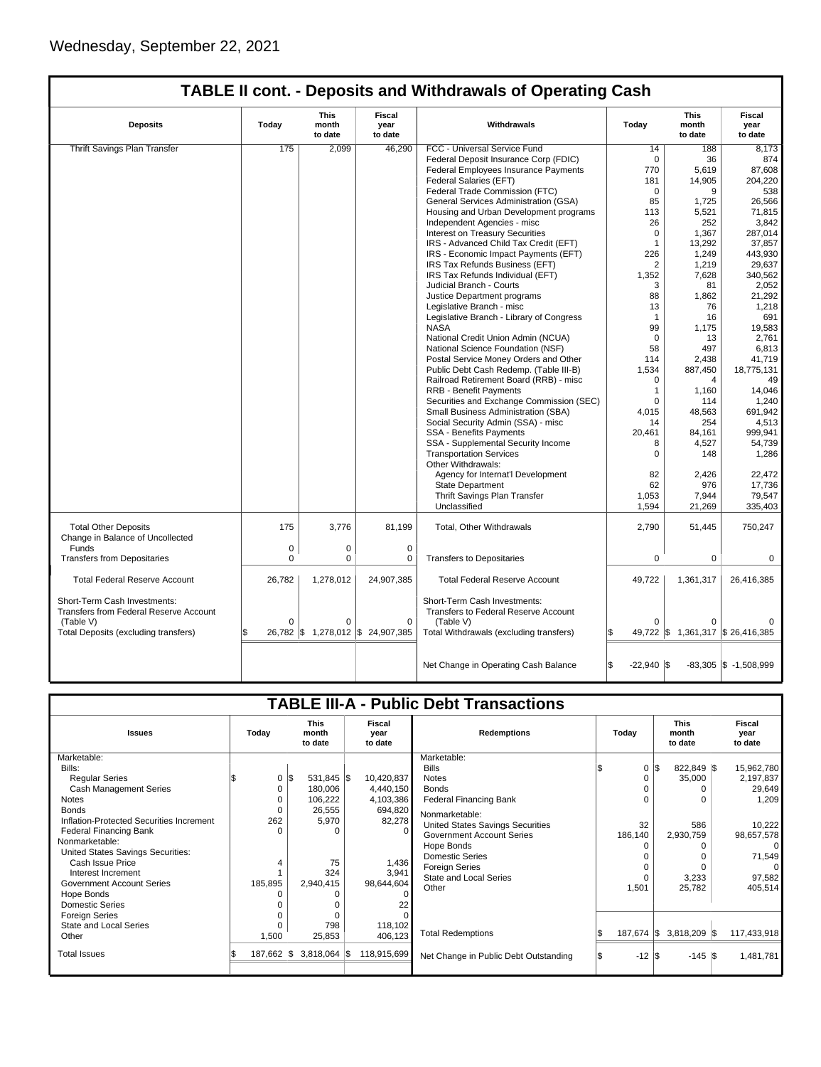| <b>Deposits</b>                                                        | Today    | <b>This</b><br>month<br>to date | Fiscal<br>year<br>to date       | Withdrawals                                                          | Today                | <b>This</b><br>month<br>to date   | <b>Fiscal</b><br>year<br>to date |
|------------------------------------------------------------------------|----------|---------------------------------|---------------------------------|----------------------------------------------------------------------|----------------------|-----------------------------------|----------------------------------|
| <b>Thrift Savings Plan Transfer</b>                                    | 175      | 2,099                           | 46,290                          | FCC - Universal Service Fund                                         | 14                   | 188                               | 8,173                            |
|                                                                        |          |                                 |                                 | Federal Deposit Insurance Corp (FDIC)                                | $\mathbf 0$          | 36                                | 874                              |
|                                                                        |          |                                 |                                 | Federal Employees Insurance Payments                                 | 770                  | 5,619                             | 87,608                           |
|                                                                        |          |                                 |                                 | Federal Salaries (EFT)                                               | 181                  | 14,905                            | 204.220                          |
|                                                                        |          |                                 |                                 | Federal Trade Commission (FTC)                                       | $\Omega$             | 9                                 | 538                              |
|                                                                        |          |                                 |                                 | General Services Administration (GSA)                                | 85                   | 1,725                             | 26.566                           |
|                                                                        |          |                                 |                                 | Housing and Urban Development programs                               | 113                  | 5,521                             | 71,815                           |
|                                                                        |          |                                 |                                 | Independent Agencies - misc                                          | 26                   | 252                               | 3,842                            |
|                                                                        |          |                                 |                                 | <b>Interest on Treasury Securities</b>                               | 0                    | 1,367                             | 287,014                          |
|                                                                        |          |                                 |                                 | IRS - Advanced Child Tax Credit (EFT)                                | $\mathbf{1}$         | 13,292                            | 37,857                           |
|                                                                        |          |                                 |                                 | IRS - Economic Impact Payments (EFT)                                 | 226                  | 1,249                             | 443.930                          |
|                                                                        |          |                                 |                                 | IRS Tax Refunds Business (EFT)                                       | 2                    | 1,219                             | 29,637                           |
|                                                                        |          |                                 |                                 | IRS Tax Refunds Individual (EFT)                                     | 1,352                | 7,628                             | 340,562                          |
|                                                                        |          |                                 |                                 | Judicial Branch - Courts                                             | 3                    | 81                                | 2,052                            |
|                                                                        |          |                                 |                                 | Justice Department programs                                          | 88                   | 1,862                             | 21,292                           |
|                                                                        |          |                                 |                                 | Legislative Branch - misc                                            | 13                   | 76                                | 1,218                            |
|                                                                        |          |                                 |                                 | Legislative Branch - Library of Congress                             | $\mathbf{1}$         | 16                                | 691                              |
|                                                                        |          |                                 |                                 | <b>NASA</b>                                                          | 99                   | 1,175                             |                                  |
|                                                                        |          |                                 |                                 |                                                                      | $\Omega$             |                                   | 19,583                           |
|                                                                        |          |                                 |                                 | National Credit Union Admin (NCUA)                                   |                      | 13                                | 2,761                            |
|                                                                        |          |                                 |                                 | National Science Foundation (NSF)                                    | 58                   | 497                               | 6,813                            |
|                                                                        |          |                                 |                                 | Postal Service Money Orders and Other                                | 114                  | 2,438                             | 41,719                           |
|                                                                        |          |                                 |                                 | Public Debt Cash Redemp. (Table III-B)                               | 1,534                | 887,450                           | 18,775,131                       |
|                                                                        |          |                                 |                                 | Railroad Retirement Board (RRB) - misc                               | $\Omega$             | $\overline{4}$                    | 49                               |
|                                                                        |          |                                 |                                 | <b>RRB - Benefit Payments</b>                                        | $\mathbf{1}$         | 1.160                             | 14.046                           |
|                                                                        |          |                                 |                                 | Securities and Exchange Commission (SEC)                             | 0                    | 114                               | 1,240                            |
|                                                                        |          |                                 |                                 | Small Business Administration (SBA)                                  | 4,015                | 48,563                            | 691,942                          |
|                                                                        |          |                                 |                                 | Social Security Admin (SSA) - misc                                   | 14                   | 254                               | 4,513                            |
|                                                                        |          |                                 |                                 | SSA - Benefits Payments                                              | 20,461               | 84,161                            | 999,941                          |
|                                                                        |          |                                 |                                 | SSA - Supplemental Security Income                                   | 8                    | 4,527                             | 54,739                           |
|                                                                        |          |                                 |                                 | <b>Transportation Services</b><br>Other Withdrawals:                 | $\Omega$             | 148                               | 1,286                            |
|                                                                        |          |                                 |                                 | Agency for Internat'l Development                                    | 82                   | 2.426                             | 22.472                           |
|                                                                        |          |                                 |                                 | <b>State Department</b>                                              | 62                   | 976                               | 17,736                           |
|                                                                        |          |                                 |                                 | Thrift Savings Plan Transfer                                         | 1,053                | 7,944                             | 79,547                           |
|                                                                        |          |                                 |                                 | Unclassified                                                         | 1,594                | 21,269                            | 335,403                          |
| <b>Total Other Deposits</b>                                            | 175      | 3,776                           | 81,199                          | Total, Other Withdrawals                                             | 2,790                | 51,445                            | 750,247                          |
| Change in Balance of Uncollected                                       |          |                                 |                                 |                                                                      |                      |                                   |                                  |
| Funds                                                                  | 0        | $\mathbf 0$                     | $\mathbf 0$                     |                                                                      |                      |                                   |                                  |
| <b>Transfers from Depositaries</b>                                     | $\Omega$ | $\Omega$                        | $\Omega$                        | <b>Transfers to Depositaries</b>                                     | $\Omega$             | $\Omega$                          | $\Omega$                         |
| <b>Total Federal Reserve Account</b>                                   | 26,782   | 1,278,012                       | 24,907,385                      | <b>Total Federal Reserve Account</b>                                 | 49,722               | 1,361,317                         | 26,416,385                       |
| Short-Term Cash Investments:<br>Transfers from Federal Reserve Account |          |                                 |                                 | Short-Term Cash Investments:<br>Transfers to Federal Reserve Account |                      |                                   |                                  |
| (Table V)                                                              | $\Omega$ | $\Omega$                        | $\Omega$                        | (Table V)                                                            | $\Omega$             |                                   |                                  |
| Total Deposits (excluding transfers)                                   |          |                                 | 26,782 \$1,278,012 \$24,907,385 | Total Withdrawals (excluding transfers)                              |                      | 49,722 \$ 1,361,317 \$ 26,416,385 |                                  |
|                                                                        |          |                                 |                                 |                                                                      |                      |                                   |                                  |
|                                                                        |          |                                 |                                 | Net Change in Operating Cash Balance                                 | l\$<br>$-22,940$ \\$ |                                   | $-83,305$ \$ $-1,508,999$        |

| <b>TABLE III-A - Public Debt Transactions</b> |                                                                              |          |                       |                    |             |                                       |  |                                 |     |                                  |  |             |
|-----------------------------------------------|------------------------------------------------------------------------------|----------|-----------------------|--------------------|-------------|---------------------------------------|--|---------------------------------|-----|----------------------------------|--|-------------|
| <b>Issues</b>                                 | <b>This</b><br><b>Fiscal</b><br>Today<br>month<br>vear<br>to date<br>to date |          |                       | <b>Redemptions</b> | Todav       |                                       |  | <b>This</b><br>month<br>to date |     | <b>Fiscal</b><br>year<br>to date |  |             |
| Marketable:                                   |                                                                              |          |                       |                    |             | Marketable:                           |  |                                 |     |                                  |  |             |
| Bills:                                        |                                                                              |          |                       |                    |             | <b>Bills</b>                          |  | 0                               | l\$ | 822,849 \$                       |  | 15,962,780  |
| <b>Regular Series</b>                         |                                                                              | 0        | \$<br>531,845 \$      |                    | 10,420,837  | <b>Notes</b>                          |  | 0                               |     | 35,000                           |  | 2,197,837   |
| <b>Cash Management Series</b>                 |                                                                              |          | 180,006               |                    | 4,440,150   | <b>Bonds</b>                          |  |                                 |     |                                  |  | 29,649      |
| <b>Notes</b>                                  |                                                                              |          | 106,222               |                    | 4,103,386   | Federal Financing Bank                |  | $\Omega$                        |     | $\Omega$                         |  | 1,209       |
| <b>Bonds</b>                                  |                                                                              |          | 26,555                |                    | 694,820     | Nonmarketable:                        |  |                                 |     |                                  |  |             |
| Inflation-Protected Securities Increment      |                                                                              | 262      | 5,970                 |                    | 82,278      | United States Savings Securities      |  | 32                              |     | 586                              |  | 10,222      |
| <b>Federal Financing Bank</b>                 |                                                                              | $\Omega$ | 0                     |                    | 0           | <b>Government Account Series</b>      |  | 186,140                         |     | 2,930,759                        |  | 98,657,578  |
| Nonmarketable:                                |                                                                              |          |                       |                    |             | Hope Bonds                            |  | $\Omega$                        |     | $\Omega$                         |  | $\Omega$    |
| United States Savings Securities:             |                                                                              |          |                       |                    |             | <b>Domestic Series</b>                |  |                                 |     | 0                                |  | 71,549      |
| Cash Issue Price                              |                                                                              |          | 75                    |                    | 1,436       | <b>Foreign Series</b>                 |  | $\Omega$                        |     |                                  |  | $\Omega$    |
| Interest Increment                            |                                                                              |          | 324                   |                    | 3,941       | <b>State and Local Series</b>         |  | $\Omega$                        |     | 3,233                            |  | 97,582      |
| <b>Government Account Series</b>              | 185,895                                                                      |          | 2,940,415             |                    | 98,644,604  | Other                                 |  | 1,501                           |     | 25,782                           |  | 405,514     |
| Hope Bonds                                    |                                                                              |          | 0                     |                    | $\Omega$    |                                       |  |                                 |     |                                  |  |             |
| <b>Domestic Series</b>                        |                                                                              |          |                       |                    | 22          |                                       |  |                                 |     |                                  |  |             |
| <b>Foreign Series</b>                         |                                                                              |          | $\Omega$              |                    |             |                                       |  |                                 |     |                                  |  |             |
| <b>State and Local Series</b>                 |                                                                              |          | 798                   |                    | 118,102     |                                       |  |                                 |     |                                  |  |             |
| Other                                         |                                                                              | 1,500    | 25,853                |                    | 406,123     | <b>Total Redemptions</b>              |  | 187,674 \$                      |     | $3,818,209$ \$                   |  | 117,433,918 |
| <b>Total Issues</b>                           | 187,662                                                                      |          | $3,818,064$ \$<br>I\$ |                    | 118,915,699 | Net Change in Public Debt Outstanding |  | $-12$ $\sqrt{5}$                |     | $-145$ $\sqrt{3}$                |  | 1,481,781   |
|                                               |                                                                              |          |                       |                    |             |                                       |  |                                 |     |                                  |  |             |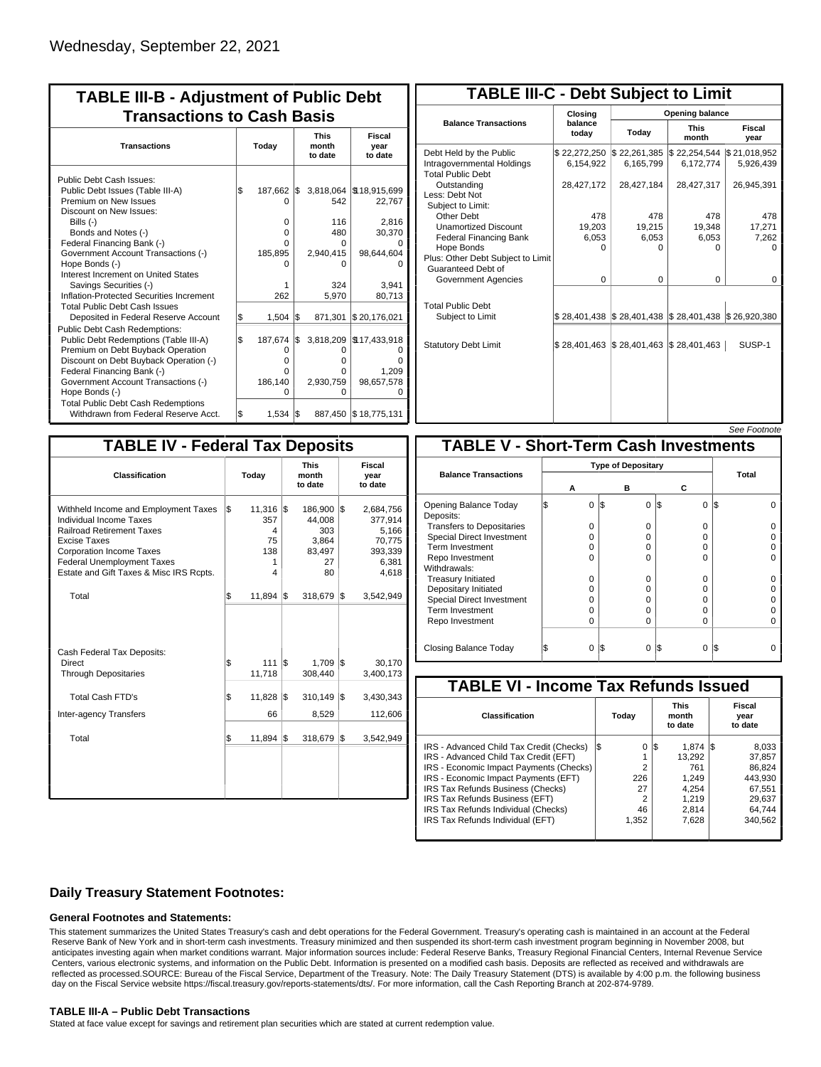| <b>TABLE III-B - Adjustment of Public Debt</b><br><b>Transactions to Cash Basis</b>                                                                   |     |                        |     |                              |                                    |                                 |                           |  |  |  |  |
|-------------------------------------------------------------------------------------------------------------------------------------------------------|-----|------------------------|-----|------------------------------|------------------------------------|---------------------------------|---------------------------|--|--|--|--|
| <b>Transactions</b>                                                                                                                                   |     | Today                  |     |                              |                                    | <b>This</b><br>month<br>to date | Fiscal<br>year<br>to date |  |  |  |  |
| Public Debt Cash Issues:<br>Public Debt Issues (Table III-A)<br>Premium on New Issues<br>Discount on New Issues:                                      | \$  | 187,662 \$<br>O        |     | 542                          | 3,818,064   \$18,915,699<br>22,767 |                                 |                           |  |  |  |  |
| Bills (-)<br>Bonds and Notes (-)<br>Federal Financing Bank (-)<br>Government Account Transactions (-)                                                 |     | 0<br>0<br>U<br>185,895 |     | 116<br>480<br>O<br>2,940,415 | 2,816<br>30,370<br>98,644,604      |                                 |                           |  |  |  |  |
| Hope Bonds (-)<br>Interest Increment on United States<br>Savings Securities (-)                                                                       |     |                        |     | 0<br>324                     | 3.941                              |                                 |                           |  |  |  |  |
| Inflation-Protected Securities Increment<br><b>Total Public Debt Cash Issues</b><br>Deposited in Federal Reserve Account                              | \$  | 262<br>1,504           | l\$ | 5.970<br>871,301             | 80,713<br>\$20,176,021             |                                 |                           |  |  |  |  |
| Public Debt Cash Redemptions:<br>Public Debt Redemptions (Table III-A)<br>Premium on Debt Buyback Operation<br>Discount on Debt Buyback Operation (-) | l\$ | 187,674<br>0<br>0      | I\$ | 3,818,209<br>0<br>0          | \$17,433,918<br>Ω<br>n             |                                 |                           |  |  |  |  |
| Federal Financing Bank (-)<br>Government Account Transactions (-)<br>Hope Bonds (-)<br><b>Total Public Debt Cash Redemptions</b>                      |     | O<br>186,140<br>O      |     | O<br>2,930,759<br>O          | 1,209<br>98,657,578<br>O           |                                 |                           |  |  |  |  |
| Withdrawn from Federal Reserve Acct.                                                                                                                  | l\$ | $1,534$ $\sqrt{3}$     |     |                              | 887,450 \$18,775,131               |                                 |                           |  |  |  |  |

| <b>TABLE III-C - Debt Subject to Limit</b>                                        |                           |                                                   |                           |                           |  |  |  |  |  |  |  |
|-----------------------------------------------------------------------------------|---------------------------|---------------------------------------------------|---------------------------|---------------------------|--|--|--|--|--|--|--|
|                                                                                   | Closing                   | Opening balance                                   |                           |                           |  |  |  |  |  |  |  |
| <b>Balance Transactions</b>                                                       | balance<br>todav          | Today                                             | <b>This</b><br>month      | Fiscal<br>year            |  |  |  |  |  |  |  |
| Debt Held by the Public<br>Intragovernmental Holdings<br><b>Total Public Debt</b> | \$22,272,250<br>6,154,922 | \$22,261,385<br>6,165,799                         | \$22,254,544<br>6,172,774 | \$21,018,952<br>5,926,439 |  |  |  |  |  |  |  |
| Outstanding<br>Less: Debt Not<br>Subject to Limit:                                | 28,427,172                | 28,427,184                                        | 28,427,317                | 26,945,391                |  |  |  |  |  |  |  |
| Other Debt                                                                        | 478                       | 478                                               | 478                       | 478                       |  |  |  |  |  |  |  |
| <b>Unamortized Discount</b>                                                       | 19,203                    | 19,215                                            | 19,348                    | 17,271                    |  |  |  |  |  |  |  |
| <b>Federal Financing Bank</b>                                                     | 6,053                     | 6,053                                             | 6,053                     | 7,262                     |  |  |  |  |  |  |  |
| Hope Bonds<br>Plus: Other Debt Subject to Limit<br>Guaranteed Debt of             | U                         | U                                                 | o                         | Ω                         |  |  |  |  |  |  |  |
| Government Agencies                                                               | $\Omega$                  | $\Omega$                                          | $\Omega$                  | $\Omega$                  |  |  |  |  |  |  |  |
| <b>Total Public Debt</b><br>Subject to Limit                                      | \$28,401,438              | $\frac{1}{2}$ 28,401,438 $\frac{1}{2}$ 28,401,438 |                           | \$26,920,380              |  |  |  |  |  |  |  |
|                                                                                   |                           |                                                   |                           |                           |  |  |  |  |  |  |  |
| <b>Statutory Debt Limit</b>                                                       | \$28,401,463              | $\frac{1}{2}$ 28,401,463 $\frac{1}{2}$ 28,401,463 |                           | SUSP-1                    |  |  |  |  |  |  |  |
|                                                                                   |                           |                                                   |                           |                           |  |  |  |  |  |  |  |

See Footnote

| <b>TABLE IV - Federal Tax Deposits</b>                                                                                                                                                                                                 |       |                                           |     |                                                         |                           |                                                                      |  |  |
|----------------------------------------------------------------------------------------------------------------------------------------------------------------------------------------------------------------------------------------|-------|-------------------------------------------|-----|---------------------------------------------------------|---------------------------|----------------------------------------------------------------------|--|--|
| Classification                                                                                                                                                                                                                         | Today |                                           |     | <b>This</b><br>month<br>to date                         | Fiscal<br>year<br>to date |                                                                      |  |  |
| Withheld Income and Employment Taxes<br>Individual Income Taxes<br><b>Railroad Retirement Taxes</b><br>Excise Taxes<br><b>Corporation Income Taxes</b><br><b>Federal Unemployment Taxes</b><br>Estate and Gift Taxes & Misc IRS Rcpts. | l\$   | 11,316<br>357<br>4<br>75<br>138<br>1<br>4 | l\$ | 186,900<br>44,008<br>303<br>3,864<br>83,497<br>27<br>80 | l\$                       | 2,684,756<br>377,914<br>5,166<br>70,775<br>393,339<br>6,381<br>4,618 |  |  |
| Total                                                                                                                                                                                                                                  | \$    | $11,894$ \\$                              |     | 318,679                                                 | 1\$                       | 3,542,949                                                            |  |  |
| Cash Federal Tax Deposits:<br>Direct<br><b>Through Depositaries</b>                                                                                                                                                                    | \$    | 111<br>11,718                             | l\$ | 1,709<br>308,440                                        | l\$                       | 30.170<br>3,400,173                                                  |  |  |
| <b>Total Cash FTD's</b>                                                                                                                                                                                                                | \$    | 11,828                                    | 1\$ | 310,149                                                 | 1\$                       | 3,430,343                                                            |  |  |
| <b>Inter-agency Transfers</b>                                                                                                                                                                                                          |       | 66                                        |     | 8,529                                                   |                           | 112,606                                                              |  |  |
| Total                                                                                                                                                                                                                                  | \$    | $11,894$ \\$                              |     | 318,679                                                 | 1\$                       | 3,542,949                                                            |  |  |
|                                                                                                                                                                                                                                        |       |                                           |     |                                                         |                           |                                                                      |  |  |

|                                              |                           |          |     |          |                 | occ i nning |  |  |  |  |  |
|----------------------------------------------|---------------------------|----------|-----|----------|-----------------|-------------|--|--|--|--|--|
| <b>TABLE V - Short-Term Cash Investments</b> |                           |          |     |          |                 |             |  |  |  |  |  |
|                                              | <b>Type of Depositary</b> |          |     |          |                 |             |  |  |  |  |  |
| <b>Balance Transactions</b>                  | А                         |          |     | в        | С               | Total       |  |  |  |  |  |
|                                              |                           |          |     |          |                 |             |  |  |  |  |  |
| Opening Balance Today<br>Deposits:           |                           | $\Omega$ | l\$ | $\Omega$ | 1\$<br>$\Omega$ | l\$         |  |  |  |  |  |
| <b>Transfers to Depositaries</b>             |                           | O        |     | $\Omega$ | $\Omega$        |             |  |  |  |  |  |
| <b>Special Direct Investment</b>             |                           | O        |     | O        | 0               |             |  |  |  |  |  |
| Term Investment                              |                           | O        |     | O        | $\Omega$        |             |  |  |  |  |  |
| Repo Investment                              |                           | O        |     | 0        | 0               |             |  |  |  |  |  |
| Withdrawals:                                 |                           |          |     |          |                 |             |  |  |  |  |  |
| <b>Treasury Initiated</b>                    |                           | O        |     | 0        | 0               |             |  |  |  |  |  |
| Depositary Initiated                         |                           | O        |     | O        | 0               |             |  |  |  |  |  |
| <b>Special Direct Investment</b>             |                           | Ω        |     | O        | 0               |             |  |  |  |  |  |
| <b>Term Investment</b>                       |                           | Ω        |     | O        | $\Omega$        |             |  |  |  |  |  |
| Repo Investment                              |                           | 0        |     | 0        | $\Omega$        |             |  |  |  |  |  |
|                                              |                           |          |     |          |                 |             |  |  |  |  |  |
| Closing Balance Today                        |                           | 0        | I\$ | 0        | 13<br>0         | 1\$         |  |  |  |  |  |

| <b>TABLE VI - Income Tax Refunds Issued</b> |     |                |                                 |           |  |                           |  |  |  |  |  |
|---------------------------------------------|-----|----------------|---------------------------------|-----------|--|---------------------------|--|--|--|--|--|
| <b>Classification</b>                       |     | Today          | <b>This</b><br>month<br>to date |           |  | Fiscal<br>year<br>to date |  |  |  |  |  |
| IRS - Advanced Child Tax Credit (Checks)    | I\$ | 0              | 1\$                             | $1.874$ S |  | 8,033                     |  |  |  |  |  |
| IRS - Advanced Child Tax Credit (EFT)       |     |                |                                 | 13,292    |  | 37,857                    |  |  |  |  |  |
| IRS - Economic Impact Payments (Checks)     |     | $\overline{2}$ |                                 | 761       |  | 86.824                    |  |  |  |  |  |
| IRS - Economic Impact Payments (EFT)        |     | 226            |                                 | 1,249     |  | 443.930                   |  |  |  |  |  |
| IRS Tax Refunds Business (Checks)           |     | 27             |                                 | 4.254     |  | 67.551                    |  |  |  |  |  |
| IRS Tax Refunds Business (EFT)              |     | 2              |                                 | 1.219     |  | 29.637                    |  |  |  |  |  |
| IRS Tax Refunds Individual (Checks)         |     | 46             |                                 | 2.814     |  | 64.744                    |  |  |  |  |  |
| IRS Tax Refunds Individual (EFT)            |     | 1,352          |                                 | 7,628     |  | 340,562                   |  |  |  |  |  |
|                                             |     |                |                                 |           |  |                           |  |  |  |  |  |

### **Daily Treasury Statement Footnotes:**

#### **General Footnotes and Statements:**

This statement summarizes the United States Treasury's cash and debt operations for the Federal Government. Treasury's operating cash is maintained in an account at the Federal Reserve Bank of New York and in short-term cash investments. Treasury minimized and then suspended its short-term cash investment program beginning in November 2008, but anticipates investing again when market conditions warrant. Major information sources include: Federal Reserve Banks, Treasury Regional Financial Centers, Internal Revenue Service Centers, various electronic systems, and information on the Public Debt. Information is presented on a modified cash basis. Deposits are reflected as received and withdrawals are reflected as processed.SOURCE: Bureau of the Fiscal Service, Department of the Treasury. Note: The Daily Treasury Statement (DTS) is available by 4:00 p.m. the following business day on the Fiscal Service website https://fiscal.treasury.gov/reports-statements/dts/. For more information, call the Cash Reporting Branch at 202-874-9789.

#### **TABLE III-A – Public Debt Transactions**

Stated at face value except for savings and retirement plan securities which are stated at current redemption value.